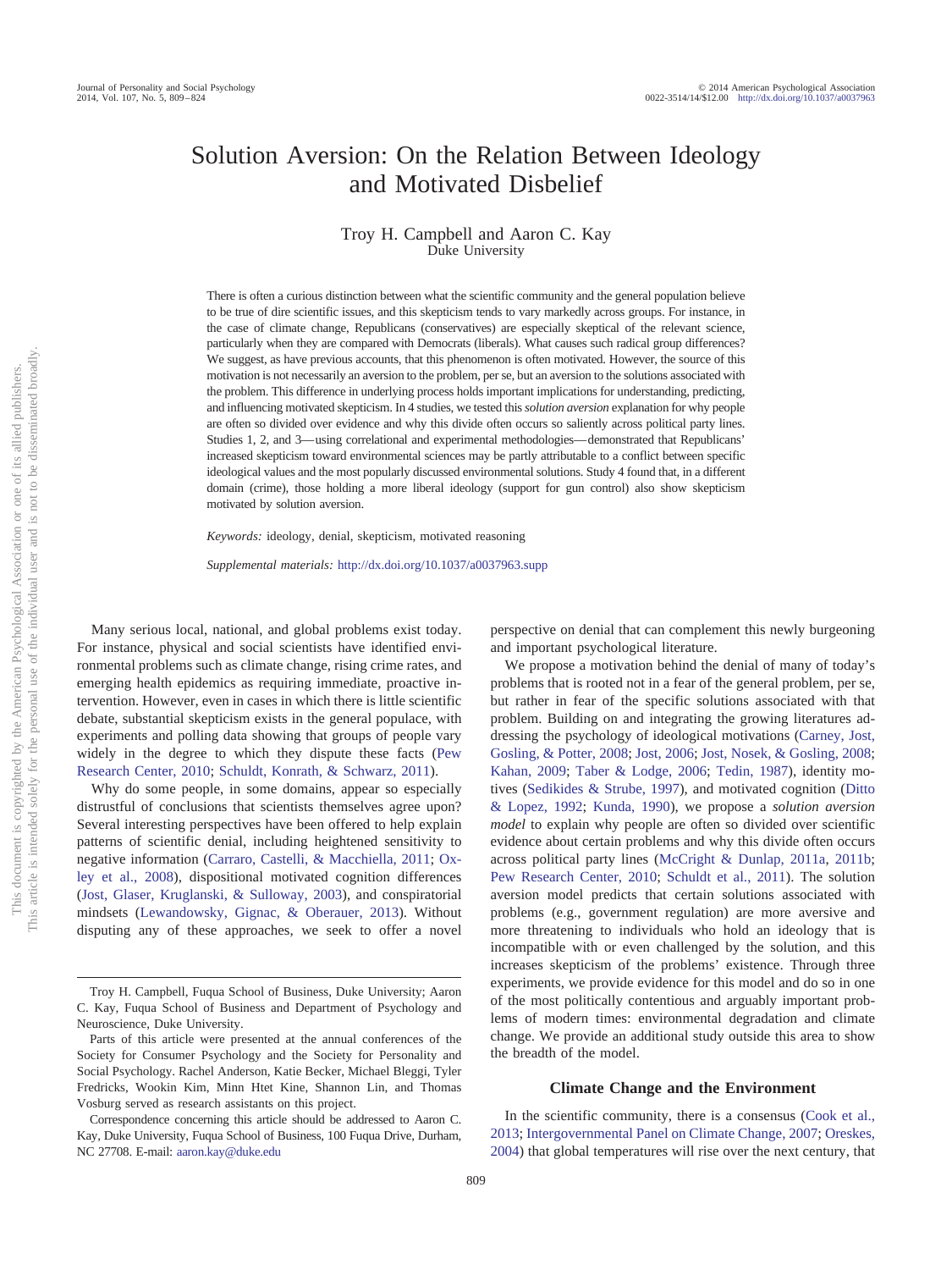# Solution Aversion: On the Relation Between Ideology and Motivated Disbelief

Troy H. Campbell and Aaron C. Kay Duke University

There is often a curious distinction between what the scientific community and the general population believe to be true of dire scientific issues, and this skepticism tends to vary markedly across groups. For instance, in the case of climate change, Republicans (conservatives) are especially skeptical of the relevant science, particularly when they are compared with Democrats (liberals). What causes such radical group differences? We suggest, as have previous accounts, that this phenomenon is often motivated. However, the source of this motivation is not necessarily an aversion to the problem, per se, but an aversion to the solutions associated with the problem. This difference in underlying process holds important implications for understanding, predicting, and influencing motivated skepticism. In 4 studies, we tested this*solution aversion* explanation for why people are often so divided over evidence and why this divide often occurs so saliently across political party lines. Studies 1, 2, and 3— using correlational and experimental methodologies— demonstrated that Republicans' increased skepticism toward environmental sciences may be partly attributable to a conflict between specific ideological values and the most popularly discussed environmental solutions. Study 4 found that, in a different domain (crime), those holding a more liberal ideology (support for gun control) also show skepticism motivated by solution aversion.

*Keywords:* ideology, denial, skepticism, motivated reasoning

*Supplemental materials:* http://dx.doi.org[/10.1037/a0037963.supp](http://dx.doi.org/10.1037/a0037963.supp)

Many serious local, national, and global problems exist today. For instance, physical and social scientists have identified environmental problems such as climate change, rising crime rates, and emerging health epidemics as requiring immediate, proactive intervention. However, even in cases in which there is little scientific debate, substantial skepticism exists in the general populace, with experiments and polling data showing that groups of people vary widely in the degree to which they dispute these facts [\(Pew](#page-15-0) [Research Center, 2010;](#page-15-0) [Schuldt, Konrath, & Schwarz, 2011\)](#page-15-1).

Why do some people, in some domains, appear so especially distrustful of conclusions that scientists themselves agree upon? Several interesting perspectives have been offered to help explain patterns of scientific denial, including heightened sensitivity to negative information [\(Carraro, Castelli, & Macchiella, 2011;](#page-14-0) [Ox](#page-15-2)[ley et al., 2008\)](#page-15-2), dispositional motivated cognition differences [\(Jost, Glaser, Kruglanski, & Sulloway, 2003\)](#page-14-1), and conspiratorial mindsets [\(Lewandowsky, Gignac, & Oberauer, 2013\)](#page-14-2). Without disputing any of these approaches, we seek to offer a novel perspective on denial that can complement this newly burgeoning and important psychological literature.

We propose a motivation behind the denial of many of today's problems that is rooted not in a fear of the general problem, per se, but rather in fear of the specific solutions associated with that problem. Building on and integrating the growing literatures addressing the psychology of ideological motivations [\(Carney, Jost,](#page-13-0) [Gosling, & Potter, 2008;](#page-13-0) [Jost, 2006;](#page-14-3) [Jost, Nosek, & Gosling, 2008;](#page-14-4) [Kahan, 2009;](#page-14-5) [Taber & Lodge, 2006;](#page-15-3) [Tedin, 1987\)](#page-15-4), identity motives [\(Sedikides & Strube, 1997\)](#page-15-5), and motivated cognition [\(Ditto](#page-14-6) [& Lopez, 1992;](#page-14-6) [Kunda, 1990\)](#page-14-7), we propose a *solution aversion model* to explain why people are often so divided over scientific evidence about certain problems and why this divide often occurs across political party lines [\(McCright & Dunlap, 2011a,](#page-15-6) [2011b;](#page-15-7) [Pew Research Center, 2010;](#page-15-0) [Schuldt et al., 2011\)](#page-15-1). The solution aversion model predicts that certain solutions associated with problems (e.g., government regulation) are more aversive and more threatening to individuals who hold an ideology that is incompatible with or even challenged by the solution, and this increases skepticism of the problems' existence. Through three experiments, we provide evidence for this model and do so in one of the most politically contentious and arguably important problems of modern times: environmental degradation and climate change. We provide an additional study outside this area to show the breadth of the model.

## **Climate Change and the Environment**

In the scientific community, there is a consensus [\(Cook et al.,](#page-14-8) [2013;](#page-14-8) [Intergovernmental Panel on Climate Change, 2007;](#page-14-9) [Oreskes,](#page-15-8) [2004\)](#page-15-8) that global temperatures will rise over the next century, that

Troy H. Campbell, Fuqua School of Business, Duke University; Aaron C. Kay, Fuqua School of Business and Department of Psychology and Neuroscience, Duke University.

Parts of this article were presented at the annual conferences of the Society for Consumer Psychology and the Society for Personality and Social Psychology. Rachel Anderson, Katie Becker, Michael Bleggi, Tyler Fredricks, Wookin Kim, Minn Htet Kine, Shannon Lin, and Thomas Vosburg served as research assistants on this project.

Correspondence concerning this article should be addressed to Aaron C. Kay, Duke University, Fuqua School of Business, 100 Fuqua Drive, Durham, NC 27708. E-mail: [aaron.kay@duke.edu](mailto:aaron.kay@duke.edu)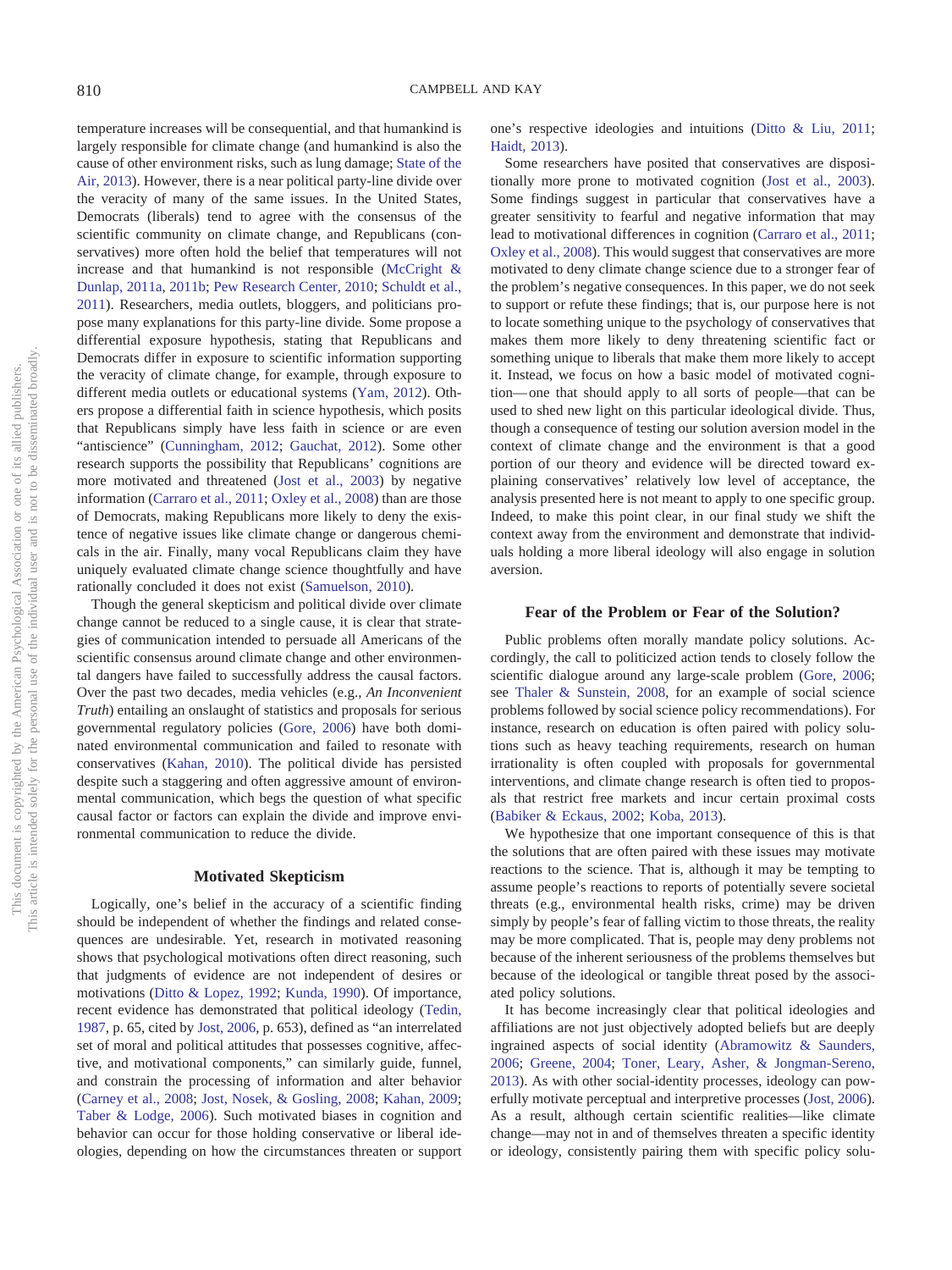temperature increases will be consequential, and that humankind is largely responsible for climate change (and humankind is also the cause of other environment risks, such as lung damage; [State of the](#page-15-9) [Air, 2013\)](#page-15-9). However, there is a near political party-line divide over the veracity of many of the same issues. In the United States, Democrats (liberals) tend to agree with the consensus of the scientific community on climate change, and Republicans (conservatives) more often hold the belief that temperatures will not increase and that humankind is not responsible [\(McCright &](#page-15-6) [Dunlap, 2011a,](#page-15-6) [2011b;](#page-15-7) [Pew Research Center, 2010;](#page-15-0) [Schuldt et al.,](#page-15-1) [2011\)](#page-15-1). Researchers, media outlets, bloggers, and politicians propose many explanations for this party-line divide. Some propose a differential exposure hypothesis, stating that Republicans and Democrats differ in exposure to scientific information supporting the veracity of climate change, for example, through exposure to different media outlets or educational systems [\(Yam, 2012\)](#page-15-10). Others propose a differential faith in science hypothesis, which posits that Republicans simply have less faith in science or are even "antiscience" [\(Cunningham, 2012;](#page-14-10) [Gauchat, 2012\)](#page-14-11). Some other research supports the possibility that Republicans' cognitions are more motivated and threatened [\(Jost et al., 2003\)](#page-14-1) by negative information [\(Carraro et al., 2011;](#page-14-0) [Oxley et al., 2008\)](#page-15-2) than are those of Democrats, making Republicans more likely to deny the existence of negative issues like climate change or dangerous chemicals in the air. Finally, many vocal Republicans claim they have uniquely evaluated climate change science thoughtfully and have rationally concluded it does not exist [\(Samuelson, 2010\)](#page-15-11).

Though the general skepticism and political divide over climate change cannot be reduced to a single cause, it is clear that strategies of communication intended to persuade all Americans of the scientific consensus around climate change and other environmental dangers have failed to successfully address the causal factors. Over the past two decades, media vehicles (e.g., *An Inconvenient Truth*) entailing an onslaught of statistics and proposals for serious governmental regulatory policies [\(Gore, 2006\)](#page-14-12) have both dominated environmental communication and failed to resonate with conservatives [\(Kahan, 2010\)](#page-14-13). The political divide has persisted despite such a staggering and often aggressive amount of environmental communication, which begs the question of what specific causal factor or factors can explain the divide and improve environmental communication to reduce the divide.

## **Motivated Skepticism**

Logically, one's belief in the accuracy of a scientific finding should be independent of whether the findings and related consequences are undesirable. Yet, research in motivated reasoning shows that psychological motivations often direct reasoning, such that judgments of evidence are not independent of desires or motivations [\(Ditto & Lopez, 1992;](#page-14-6) [Kunda, 1990\)](#page-14-7). Of importance, recent evidence has demonstrated that political ideology [\(Tedin,](#page-15-4) [1987,](#page-15-4) p. 65, cited by [Jost, 2006,](#page-14-3) p. 653), defined as "an interrelated set of moral and political attitudes that possesses cognitive, affective, and motivational components," can similarly guide, funnel, and constrain the processing of information and alter behavior [\(Carney et al., 2008;](#page-13-0) [Jost, Nosek, & Gosling, 2008;](#page-14-4) [Kahan, 2009;](#page-14-5) [Taber & Lodge, 2006\)](#page-15-3). Such motivated biases in cognition and behavior can occur for those holding conservative or liberal ideologies, depending on how the circumstances threaten or support one's respective ideologies and intuitions [\(Ditto & Liu, 2011;](#page-14-14) [Haidt, 2013\)](#page-14-15).

Some researchers have posited that conservatives are dispositionally more prone to motivated cognition [\(Jost et al., 2003\)](#page-14-1). Some findings suggest in particular that conservatives have a greater sensitivity to fearful and negative information that may lead to motivational differences in cognition [\(Carraro et al., 2011;](#page-14-0) [Oxley et al., 2008\)](#page-15-2). This would suggest that conservatives are more motivated to deny climate change science due to a stronger fear of the problem's negative consequences. In this paper, we do not seek to support or refute these findings; that is, our purpose here is not to locate something unique to the psychology of conservatives that makes them more likely to deny threatening scientific fact or something unique to liberals that make them more likely to accept it. Instead, we focus on how a basic model of motivated cognition— one that should apply to all sorts of people—that can be used to shed new light on this particular ideological divide. Thus, though a consequence of testing our solution aversion model in the context of climate change and the environment is that a good portion of our theory and evidence will be directed toward explaining conservatives' relatively low level of acceptance, the analysis presented here is not meant to apply to one specific group. Indeed, to make this point clear, in our final study we shift the context away from the environment and demonstrate that individuals holding a more liberal ideology will also engage in solution aversion.

#### **Fear of the Problem or Fear of the Solution?**

Public problems often morally mandate policy solutions. Accordingly, the call to politicized action tends to closely follow the scientific dialogue around any large-scale problem [\(Gore, 2006;](#page-14-12) see [Thaler & Sunstein, 2008,](#page-15-12) for an example of social science problems followed by social science policy recommendations). For instance, research on education is often paired with policy solutions such as heavy teaching requirements, research on human irrationality is often coupled with proposals for governmental interventions, and climate change research is often tied to proposals that restrict free markets and incur certain proximal costs [\(Babiker & Eckaus, 2002;](#page-13-1) [Koba, 2013\)](#page-14-16).

We hypothesize that one important consequence of this is that the solutions that are often paired with these issues may motivate reactions to the science. That is, although it may be tempting to assume people's reactions to reports of potentially severe societal threats (e.g., environmental health risks, crime) may be driven simply by people's fear of falling victim to those threats, the reality may be more complicated. That is, people may deny problems not because of the inherent seriousness of the problems themselves but because of the ideological or tangible threat posed by the associated policy solutions.

It has become increasingly clear that political ideologies and affiliations are not just objectively adopted beliefs but are deeply ingrained aspects of social identity [\(Abramowitz & Saunders,](#page-13-2) [2006;](#page-13-2) [Greene, 2004;](#page-14-17) [Toner, Leary, Asher, & Jongman-Sereno,](#page-15-13) [2013\)](#page-15-13). As with other social-identity processes, ideology can powerfully motivate perceptual and interpretive processes [\(Jost, 2006\)](#page-14-3). As a result, although certain scientific realities—like climate change—may not in and of themselves threaten a specific identity or ideology, consistently pairing them with specific policy solu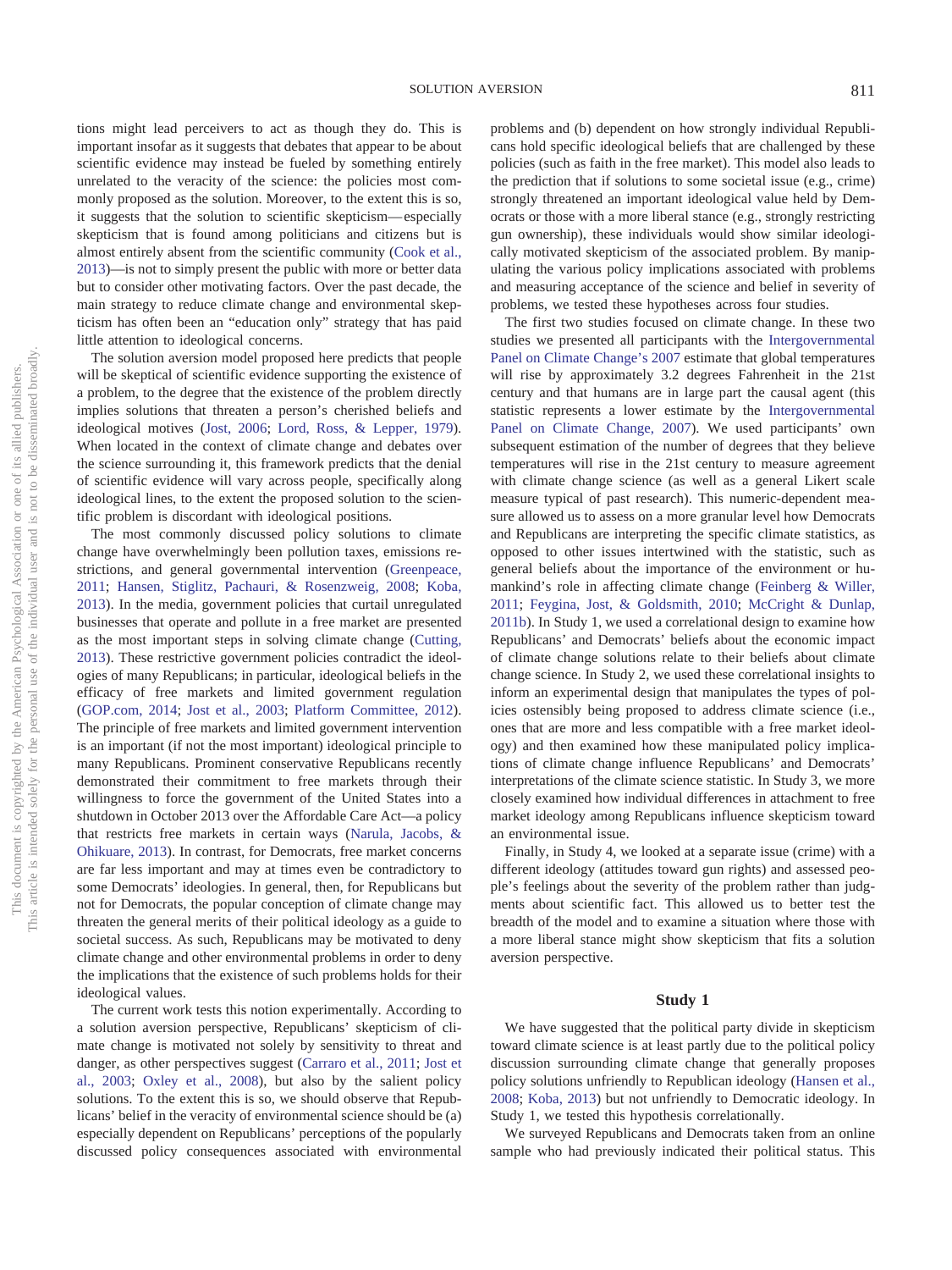tions might lead perceivers to act as though they do. This is important insofar as it suggests that debates that appear to be about scientific evidence may instead be fueled by something entirely unrelated to the veracity of the science: the policies most commonly proposed as the solution. Moreover, to the extent this is so, it suggests that the solution to scientific skepticism— especially skepticism that is found among politicians and citizens but is almost entirely absent from the scientific community [\(Cook et al.,](#page-14-8) [2013\)](#page-14-8)—is not to simply present the public with more or better data but to consider other motivating factors. Over the past decade, the main strategy to reduce climate change and environmental skepticism has often been an "education only" strategy that has paid little attention to ideological concerns.

The solution aversion model proposed here predicts that people will be skeptical of scientific evidence supporting the existence of a problem, to the degree that the existence of the problem directly implies solutions that threaten a person's cherished beliefs and ideological motives [\(Jost, 2006;](#page-14-3) [Lord, Ross, & Lepper, 1979\)](#page-15-14). When located in the context of climate change and debates over the science surrounding it, this framework predicts that the denial of scientific evidence will vary across people, specifically along ideological lines, to the extent the proposed solution to the scientific problem is discordant with ideological positions.

The most commonly discussed policy solutions to climate change have overwhelmingly been pollution taxes, emissions restrictions, and general governmental intervention [\(Greenpeace,](#page-14-18) [2011;](#page-14-18) [Hansen, Stiglitz, Pachauri, & Rosenzweig, 2008;](#page-14-19) [Koba,](#page-14-16) [2013\)](#page-14-16). In the media, government policies that curtail unregulated businesses that operate and pollute in a free market are presented as the most important steps in solving climate change [\(Cutting,](#page-14-20) [2013\)](#page-14-20). These restrictive government policies contradict the ideologies of many Republicans; in particular, ideological beliefs in the efficacy of free markets and limited government regulation [\(GOP.com, 2014;](#page-14-21) [Jost et al., 2003;](#page-14-1) [Platform Committee, 2012\)](#page-15-15). The principle of free markets and limited government intervention is an important (if not the most important) ideological principle to many Republicans. Prominent conservative Republicans recently demonstrated their commitment to free markets through their willingness to force the government of the United States into a shutdown in October 2013 over the Affordable Care Act—a policy that restricts free markets in certain ways [\(Narula, Jacobs, &](#page-15-16) [Ohikuare, 2013\)](#page-15-16). In contrast, for Democrats, free market concerns are far less important and may at times even be contradictory to some Democrats' ideologies. In general, then, for Republicans but not for Democrats, the popular conception of climate change may threaten the general merits of their political ideology as a guide to societal success. As such, Republicans may be motivated to deny climate change and other environmental problems in order to deny the implications that the existence of such problems holds for their ideological values.

The current work tests this notion experimentally. According to a solution aversion perspective, Republicans' skepticism of climate change is motivated not solely by sensitivity to threat and danger, as other perspectives suggest [\(Carraro et al., 2011;](#page-14-0) [Jost et](#page-14-1) [al., 2003;](#page-14-1) [Oxley et al., 2008\)](#page-15-2), but also by the salient policy solutions. To the extent this is so, we should observe that Republicans' belief in the veracity of environmental science should be (a) especially dependent on Republicans' perceptions of the popularly discussed policy consequences associated with environmental

problems and (b) dependent on how strongly individual Republicans hold specific ideological beliefs that are challenged by these policies (such as faith in the free market). This model also leads to the prediction that if solutions to some societal issue (e.g., crime) strongly threatened an important ideological value held by Democrats or those with a more liberal stance (e.g., strongly restricting gun ownership), these individuals would show similar ideologically motivated skepticism of the associated problem. By manipulating the various policy implications associated with problems and measuring acceptance of the science and belief in severity of problems, we tested these hypotheses across four studies.

The first two studies focused on climate change. In these two studies we presented all participants with the [Intergovernmental](#page-14-9) [Panel on Climate Change's 2007](#page-14-9) estimate that global temperatures will rise by approximately 3.2 degrees Fahrenheit in the 21st century and that humans are in large part the causal agent (this statistic represents a lower estimate by the [Intergovernmental](#page-14-9) [Panel on Climate Change, 2007\)](#page-14-9). We used participants' own subsequent estimation of the number of degrees that they believe temperatures will rise in the 21st century to measure agreement with climate change science (as well as a general Likert scale measure typical of past research). This numeric-dependent measure allowed us to assess on a more granular level how Democrats and Republicans are interpreting the specific climate statistics, as opposed to other issues intertwined with the statistic, such as general beliefs about the importance of the environment or humankind's role in affecting climate change [\(Feinberg & Willer,](#page-14-22) [2011;](#page-14-22) [Feygina, Jost, & Goldsmith, 2010;](#page-14-23) [McCright & Dunlap,](#page-15-7) [2011b\)](#page-15-7). In Study 1, we used a correlational design to examine how Republicans' and Democrats' beliefs about the economic impact of climate change solutions relate to their beliefs about climate change science. In Study 2, we used these correlational insights to inform an experimental design that manipulates the types of policies ostensibly being proposed to address climate science (i.e., ones that are more and less compatible with a free market ideology) and then examined how these manipulated policy implications of climate change influence Republicans' and Democrats' interpretations of the climate science statistic. In Study 3, we more closely examined how individual differences in attachment to free market ideology among Republicans influence skepticism toward an environmental issue.

Finally, in Study 4, we looked at a separate issue (crime) with a different ideology (attitudes toward gun rights) and assessed people's feelings about the severity of the problem rather than judgments about scientific fact. This allowed us to better test the breadth of the model and to examine a situation where those with a more liberal stance might show skepticism that fits a solution aversion perspective.

### **Study 1**

We have suggested that the political party divide in skepticism toward climate science is at least partly due to the political policy discussion surrounding climate change that generally proposes policy solutions unfriendly to Republican ideology [\(Hansen et al.,](#page-14-19) [2008;](#page-14-19) [Koba, 2013\)](#page-14-16) but not unfriendly to Democratic ideology. In Study 1, we tested this hypothesis correlationally.

We surveyed Republicans and Democrats taken from an online sample who had previously indicated their political status. This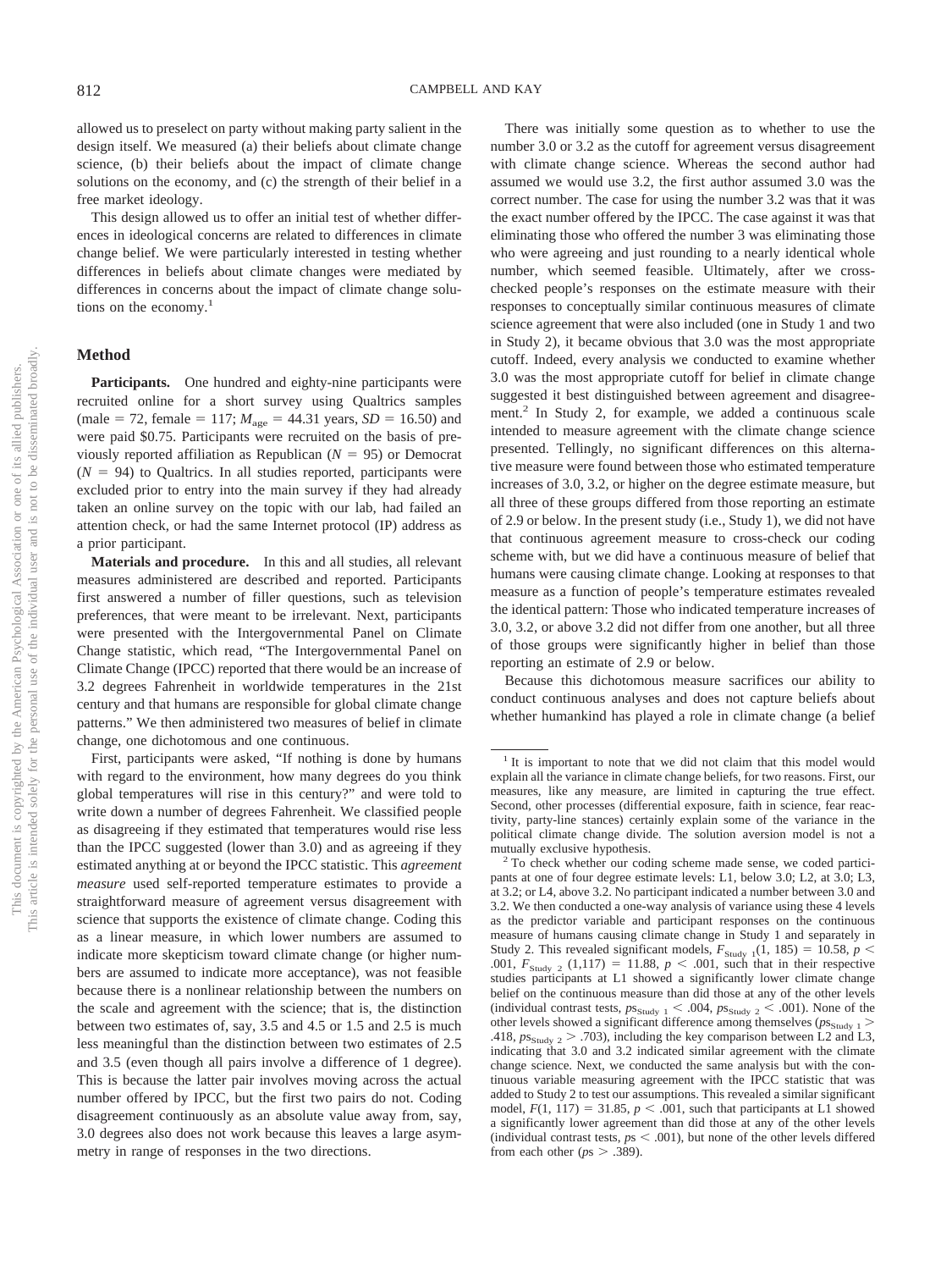allowed us to preselect on party without making party salient in the design itself. We measured (a) their beliefs about climate change science, (b) their beliefs about the impact of climate change solutions on the economy, and (c) the strength of their belief in a free market ideology.

This design allowed us to offer an initial test of whether differences in ideological concerns are related to differences in climate change belief. We were particularly interested in testing whether differences in beliefs about climate changes were mediated by differences in concerns about the impact of climate change solutions on the economy.<sup>1</sup>

## **Method**

Participants. One hundred and eighty-nine participants were recruited online for a short survey using Qualtrics samples  $(male = 72, female = 117; M<sub>age</sub> = 44.31 years, SD = 16.50) and$ were paid \$0.75. Participants were recruited on the basis of previously reported affiliation as Republican  $(N = 95)$  or Democrat  $(N = 94)$  to Qualtrics. In all studies reported, participants were excluded prior to entry into the main survey if they had already taken an online survey on the topic with our lab, had failed an attention check, or had the same Internet protocol (IP) address as a prior participant.

**Materials and procedure.** In this and all studies, all relevant measures administered are described and reported. Participants first answered a number of filler questions, such as television preferences, that were meant to be irrelevant. Next, participants were presented with the Intergovernmental Panel on Climate Change statistic, which read, "The Intergovernmental Panel on Climate Change (IPCC) reported that there would be an increase of 3.2 degrees Fahrenheit in worldwide temperatures in the 21st century and that humans are responsible for global climate change patterns." We then administered two measures of belief in climate change, one dichotomous and one continuous.

First, participants were asked, "If nothing is done by humans with regard to the environment, how many degrees do you think global temperatures will rise in this century?" and were told to write down a number of degrees Fahrenheit. We classified people as disagreeing if they estimated that temperatures would rise less than the IPCC suggested (lower than 3.0) and as agreeing if they estimated anything at or beyond the IPCC statistic. This *agreement measure* used self-reported temperature estimates to provide a straightforward measure of agreement versus disagreement with science that supports the existence of climate change. Coding this as a linear measure, in which lower numbers are assumed to indicate more skepticism toward climate change (or higher numbers are assumed to indicate more acceptance), was not feasible because there is a nonlinear relationship between the numbers on the scale and agreement with the science; that is, the distinction between two estimates of, say, 3.5 and 4.5 or 1.5 and 2.5 is much less meaningful than the distinction between two estimates of 2.5 and 3.5 (even though all pairs involve a difference of 1 degree). This is because the latter pair involves moving across the actual number offered by IPCC, but the first two pairs do not. Coding disagreement continuously as an absolute value away from, say, 3.0 degrees also does not work because this leaves a large asymmetry in range of responses in the two directions.

There was initially some question as to whether to use the number 3.0 or 3.2 as the cutoff for agreement versus disagreement with climate change science. Whereas the second author had assumed we would use 3.2, the first author assumed 3.0 was the correct number. The case for using the number 3.2 was that it was the exact number offered by the IPCC. The case against it was that eliminating those who offered the number 3 was eliminating those who were agreeing and just rounding to a nearly identical whole number, which seemed feasible. Ultimately, after we crosschecked people's responses on the estimate measure with their responses to conceptually similar continuous measures of climate science agreement that were also included (one in Study 1 and two in Study 2), it became obvious that 3.0 was the most appropriate cutoff. Indeed, every analysis we conducted to examine whether 3.0 was the most appropriate cutoff for belief in climate change suggested it best distinguished between agreement and disagreement.<sup>2</sup> In Study 2, for example, we added a continuous scale intended to measure agreement with the climate change science presented. Tellingly, no significant differences on this alternative measure were found between those who estimated temperature increases of 3.0, 3.2, or higher on the degree estimate measure, but all three of these groups differed from those reporting an estimate of 2.9 or below. In the present study (i.e., Study 1), we did not have that continuous agreement measure to cross-check our coding scheme with, but we did have a continuous measure of belief that humans were causing climate change. Looking at responses to that measure as a function of people's temperature estimates revealed the identical pattern: Those who indicated temperature increases of 3.0, 3.2, or above 3.2 did not differ from one another, but all three of those groups were significantly higher in belief than those reporting an estimate of 2.9 or below.

Because this dichotomous measure sacrifices our ability to conduct continuous analyses and does not capture beliefs about whether humankind has played a role in climate change (a belief

<sup>&</sup>lt;sup>1</sup> It is important to note that we did not claim that this model would explain all the variance in climate change beliefs, for two reasons. First, our measures, like any measure, are limited in capturing the true effect. Second, other processes (differential exposure, faith in science, fear reactivity, party-line stances) certainly explain some of the variance in the political climate change divide. The solution aversion model is not a mutually exclusive hypothesis.<br><sup>2</sup> To check whether our coding scheme made sense, we coded partici-

pants at one of four degree estimate levels: L1, below 3.0; L2, at 3.0; L3, at 3.2; or L4, above 3.2. No participant indicated a number between 3.0 and 3.2. We then conducted a one-way analysis of variance using these 4 levels as the predictor variable and participant responses on the continuous measure of humans causing climate change in Study 1 and separately in Study 2. This revealed significant models,  $F_{\text{Study 1}}(1, 185) = 10.58$ ,  $p <$ .001,  $F_{\text{Study 2}}$  (1,117) = 11.88,  $p < .001$ , such that in their respective studies participants at L1 showed a significantly lower climate change belief on the continuous measure than did those at any of the other levels (individual contrast tests,  $p_{\text{Study 1}} < .004$ ,  $p_{\text{Study 2}} < .001$ ). None of the other levels showed a significant difference among themselves ( $p s<sub>Study 1</sub>$ ) .418,  $p_{s_{\text{study }2}} > .703$ ), including the key comparison between L2 and L3, indicating that 3.0 and 3.2 indicated similar agreement with the climate change science. Next, we conducted the same analysis but with the continuous variable measuring agreement with the IPCC statistic that was added to Study 2 to test our assumptions. This revealed a similar significant model,  $F(1, 117) = 31.85$ ,  $p < .001$ , such that participants at L1 showed a significantly lower agreement than did those at any of the other levels (individual contrast tests,  $ps < .001$ ), but none of the other levels differed from each other ( $ps > .389$ ).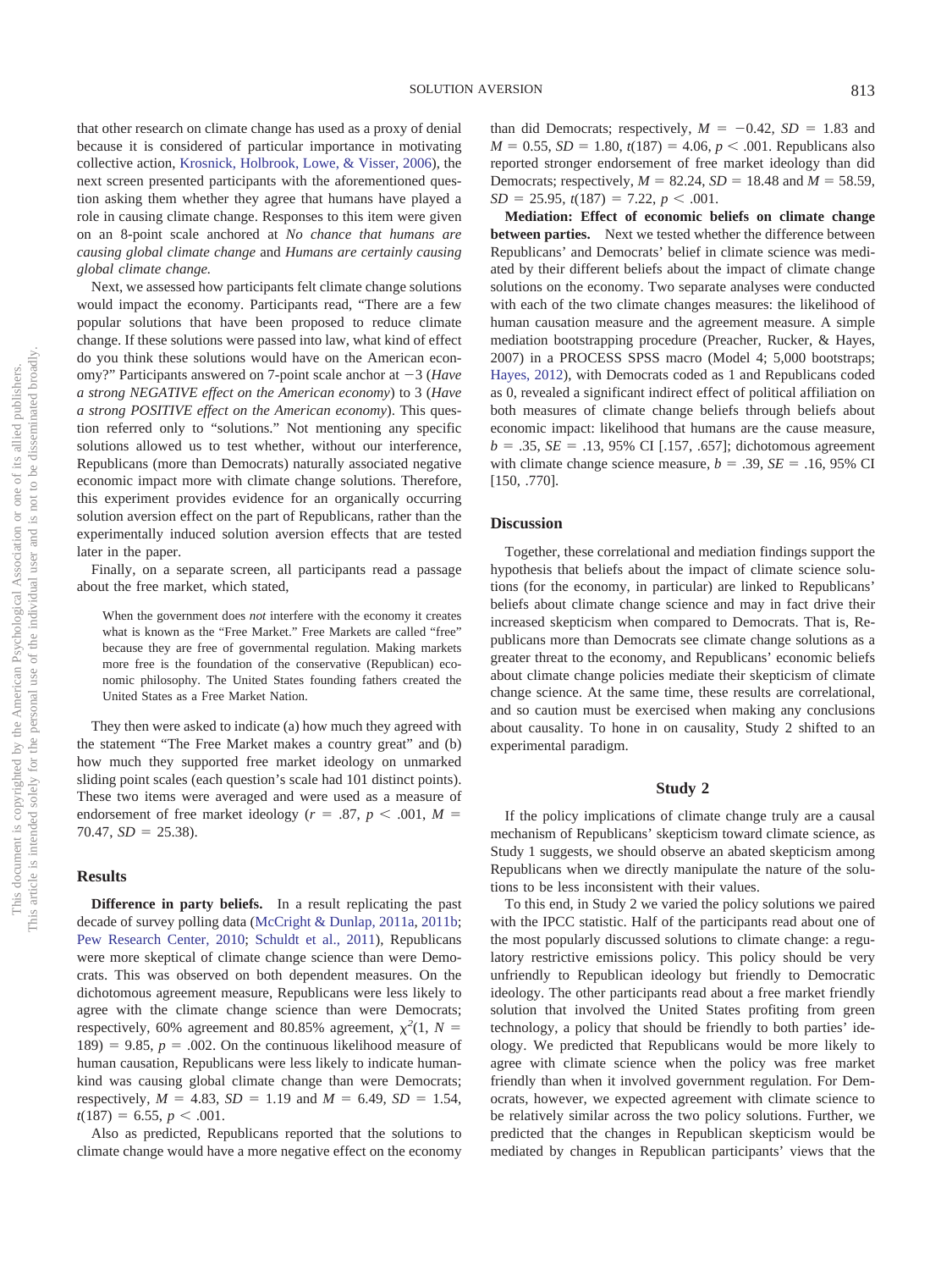that other research on climate change has used as a proxy of denial because it is considered of particular importance in motivating collective action, [Krosnick, Holbrook, Lowe, & Visser, 2006\)](#page-14-24), the next screen presented participants with the aforementioned question asking them whether they agree that humans have played a role in causing climate change. Responses to this item were given on an 8-point scale anchored at *No chance that humans are causing global climate change* and *Humans are certainly causing global climate change.*

Next, we assessed how participants felt climate change solutions would impact the economy. Participants read, "There are a few popular solutions that have been proposed to reduce climate change. If these solutions were passed into law, what kind of effect do you think these solutions would have on the American economy?" Participants answered on 7-point scale anchor at  $-3$  (*Have a strong NEGATIVE effect on the American economy*) to 3 (*Have a strong POSITIVE effect on the American economy*). This question referred only to "solutions." Not mentioning any specific solutions allowed us to test whether, without our interference, Republicans (more than Democrats) naturally associated negative economic impact more with climate change solutions. Therefore, this experiment provides evidence for an organically occurring solution aversion effect on the part of Republicans, rather than the experimentally induced solution aversion effects that are tested later in the paper.

Finally, on a separate screen, all participants read a passage about the free market, which stated,

When the government does *not* interfere with the economy it creates what is known as the "Free Market." Free Markets are called "free" because they are free of governmental regulation. Making markets more free is the foundation of the conservative (Republican) economic philosophy. The United States founding fathers created the United States as a Free Market Nation.

They then were asked to indicate (a) how much they agreed with the statement "The Free Market makes a country great" and (b) how much they supported free market ideology on unmarked sliding point scales (each question's scale had 101 distinct points). These two items were averaged and were used as a measure of endorsement of free market ideology ( $r = .87$ ,  $p < .001$ ,  $M =$  $70.47$ ,  $SD = 25.38$ ).

## **Results**

**Difference in party beliefs.** In a result replicating the past decade of survey polling data [\(McCright & Dunlap, 2011a,](#page-15-6) [2011b;](#page-15-7) [Pew Research Center, 2010;](#page-15-0) [Schuldt et al., 2011\)](#page-15-1), Republicans were more skeptical of climate change science than were Democrats. This was observed on both dependent measures. On the dichotomous agreement measure, Republicans were less likely to agree with the climate change science than were Democrats; respectively, 60% agreement and 80.85% agreement,  $\chi^2(1, N =$  $189$ ) = 9.85,  $p = .002$ . On the continuous likelihood measure of human causation, Republicans were less likely to indicate humankind was causing global climate change than were Democrats; respectively,  $M = 4.83$ ,  $SD = 1.19$  and  $M = 6.49$ ,  $SD = 1.54$ ,  $t(187) = 6.55, p < .001.$ 

Also as predicted, Republicans reported that the solutions to climate change would have a more negative effect on the economy

than did Democrats; respectively,  $M = -0.42$ ,  $SD = 1.83$  and  $M = 0.55$ ,  $SD = 1.80$ ,  $t(187) = 4.06$ ,  $p < .001$ . Republicans also reported stronger endorsement of free market ideology than did Democrats; respectively,  $M = 82.24$ ,  $SD = 18.48$  and  $M = 58.59$ ,  $SD = 25.95, t(187) = 7.22, p < .001.$ 

**Mediation: Effect of economic beliefs on climate change between parties.** Next we tested whether the difference between Republicans' and Democrats' belief in climate science was mediated by their different beliefs about the impact of climate change solutions on the economy. Two separate analyses were conducted with each of the two climate changes measures: the likelihood of human causation measure and the agreement measure. A simple mediation bootstrapping procedure (Preacher, Rucker, & Hayes, 2007) in a PROCESS SPSS macro (Model 4; 5,000 bootstraps; [Hayes, 2012\)](#page-14-25), with Democrats coded as 1 and Republicans coded as 0, revealed a significant indirect effect of political affiliation on both measures of climate change beliefs through beliefs about economic impact: likelihood that humans are the cause measure,  $b = .35$ ,  $SE = .13$ , 95% CI [.157, .657]; dichotomous agreement with climate change science measure,  $b = .39$ ,  $SE = .16$ , 95% CI [150, .770].

#### **Discussion**

Together, these correlational and mediation findings support the hypothesis that beliefs about the impact of climate science solutions (for the economy, in particular) are linked to Republicans' beliefs about climate change science and may in fact drive their increased skepticism when compared to Democrats. That is, Republicans more than Democrats see climate change solutions as a greater threat to the economy, and Republicans' economic beliefs about climate change policies mediate their skepticism of climate change science. At the same time, these results are correlational, and so caution must be exercised when making any conclusions about causality. To hone in on causality, Study 2 shifted to an experimental paradigm.

## **Study 2**

If the policy implications of climate change truly are a causal mechanism of Republicans' skepticism toward climate science, as Study 1 suggests, we should observe an abated skepticism among Republicans when we directly manipulate the nature of the solutions to be less inconsistent with their values.

To this end, in Study 2 we varied the policy solutions we paired with the IPCC statistic. Half of the participants read about one of the most popularly discussed solutions to climate change: a regulatory restrictive emissions policy. This policy should be very unfriendly to Republican ideology but friendly to Democratic ideology. The other participants read about a free market friendly solution that involved the United States profiting from green technology, a policy that should be friendly to both parties' ideology. We predicted that Republicans would be more likely to agree with climate science when the policy was free market friendly than when it involved government regulation. For Democrats, however, we expected agreement with climate science to be relatively similar across the two policy solutions. Further, we predicted that the changes in Republican skepticism would be mediated by changes in Republican participants' views that the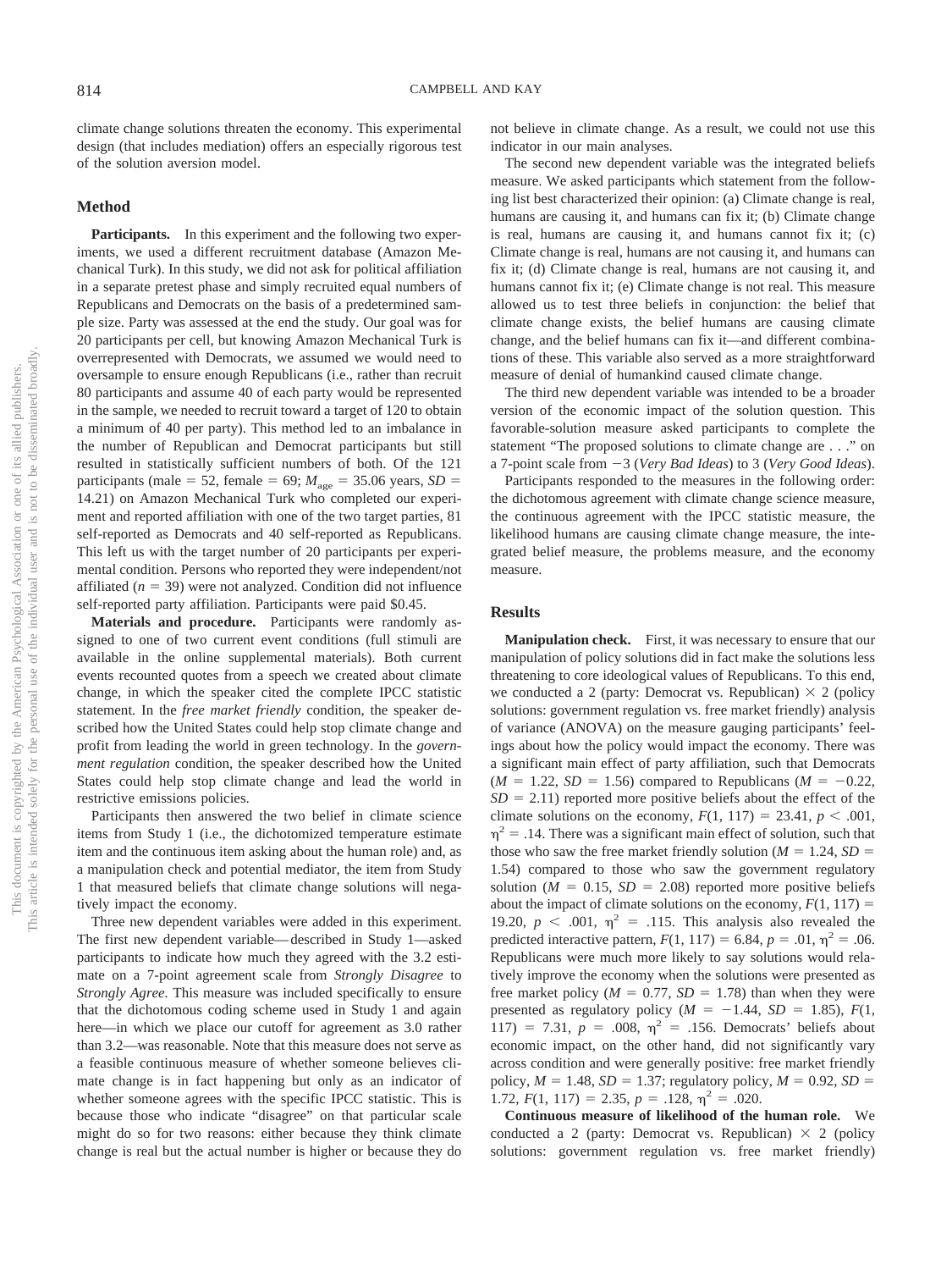climate change solutions threaten the economy. This experimental design (that includes mediation) offers an especially rigorous test of the solution aversion model.

#### **Method**

**Participants.** In this experiment and the following two experiments, we used a different recruitment database (Amazon Mechanical Turk). In this study, we did not ask for political affiliation in a separate pretest phase and simply recruited equal numbers of Republicans and Democrats on the basis of a predetermined sample size. Party was assessed at the end the study. Our goal was for 20 participants per cell, but knowing Amazon Mechanical Turk is overrepresented with Democrats, we assumed we would need to oversample to ensure enough Republicans (i.e., rather than recruit 80 participants and assume 40 of each party would be represented in the sample, we needed to recruit toward a target of 120 to obtain a minimum of 40 per party). This method led to an imbalance in the number of Republican and Democrat participants but still resulted in statistically sufficient numbers of both. Of the 121 participants (male = 52, female = 69;  $M_{\text{age}}$  = 35.06 years, *SD* = 14.21) on Amazon Mechanical Turk who completed our experiment and reported affiliation with one of the two target parties, 81 self-reported as Democrats and 40 self-reported as Republicans. This left us with the target number of 20 participants per experimental condition. Persons who reported they were independent/not affiliated  $(n = 39)$  were not analyzed. Condition did not influence self-reported party affiliation. Participants were paid \$0.45.

**Materials and procedure.** Participants were randomly assigned to one of two current event conditions (full stimuli are available in the online supplemental materials). Both current events recounted quotes from a speech we created about climate change, in which the speaker cited the complete IPCC statistic statement. In the *free market friendly* condition, the speaker described how the United States could help stop climate change and profit from leading the world in green technology. In the *government regulation* condition, the speaker described how the United States could help stop climate change and lead the world in restrictive emissions policies.

Participants then answered the two belief in climate science items from Study 1 (i.e., the dichotomized temperature estimate item and the continuous item asking about the human role) and, as a manipulation check and potential mediator, the item from Study 1 that measured beliefs that climate change solutions will negatively impact the economy.

Three new dependent variables were added in this experiment. The first new dependent variable— described in Study 1—asked participants to indicate how much they agreed with the 3.2 estimate on a 7-point agreement scale from *Strongly Disagree* to *Strongly Agree.* This measure was included specifically to ensure that the dichotomous coding scheme used in Study 1 and again here—in which we place our cutoff for agreement as 3.0 rather than 3.2—was reasonable. Note that this measure does not serve as a feasible continuous measure of whether someone believes climate change is in fact happening but only as an indicator of whether someone agrees with the specific IPCC statistic. This is because those who indicate "disagree" on that particular scale might do so for two reasons: either because they think climate change is real but the actual number is higher or because they do not believe in climate change. As a result, we could not use this indicator in our main analyses.

The second new dependent variable was the integrated beliefs measure. We asked participants which statement from the following list best characterized their opinion: (a) Climate change is real, humans are causing it, and humans can fix it; (b) Climate change is real, humans are causing it, and humans cannot fix it; (c) Climate change is real, humans are not causing it, and humans can fix it; (d) Climate change is real, humans are not causing it, and humans cannot fix it; (e) Climate change is not real. This measure allowed us to test three beliefs in conjunction: the belief that climate change exists, the belief humans are causing climate change, and the belief humans can fix it—and different combinations of these. This variable also served as a more straightforward measure of denial of humankind caused climate change.

The third new dependent variable was intended to be a broader version of the economic impact of the solution question. This favorable-solution measure asked participants to complete the statement "The proposed solutions to climate change are . . ." on a 7-point scale from 3 (*Very Bad Ideas*) to 3 (*Very Good Ideas*).

Participants responded to the measures in the following order: the dichotomous agreement with climate change science measure, the continuous agreement with the IPCC statistic measure, the likelihood humans are causing climate change measure, the integrated belief measure, the problems measure, and the economy measure.

#### **Results**

**Manipulation check.** First, it was necessary to ensure that our manipulation of policy solutions did in fact make the solutions less threatening to core ideological values of Republicans. To this end, we conducted a 2 (party: Democrat vs. Republican)  $\times$  2 (policy solutions: government regulation vs. free market friendly) analysis of variance (ANOVA) on the measure gauging participants' feelings about how the policy would impact the economy. There was a significant main effect of party affiliation, such that Democrats  $(M = 1.22, SD = 1.56)$  compared to Republicans  $(M = -0.22,$  $SD = 2.11$ ) reported more positive beliefs about the effect of the climate solutions on the economy,  $F(1, 117) = 23.41$ ,  $p < .001$ ,  $\eta^2$  = .14. There was a significant main effect of solution, such that those who saw the free market friendly solution  $(M = 1.24, SD =$ 1.54) compared to those who saw the government regulatory solution ( $M = 0.15$ ,  $SD = 2.08$ ) reported more positive beliefs about the impact of climate solutions on the economy,  $F(1, 117) =$ 19.20,  $p < .001$ ,  $\eta^2 = .115$ . This analysis also revealed the predicted interactive pattern,  $F(1, 117) = 6.84$ ,  $p = .01$ ,  $\eta^2 = .06$ . Republicans were much more likely to say solutions would relatively improve the economy when the solutions were presented as free market policy  $(M = 0.77, SD = 1.78)$  than when they were presented as regulatory policy  $(M = -1.44, SD = 1.85)$ ,  $F(1,$ 117) = 7.31,  $p = .008$ ,  $\eta^2 = .156$ . Democrats' beliefs about economic impact, on the other hand, did not significantly vary across condition and were generally positive: free market friendly policy,  $M = 1.48$ ,  $SD = 1.37$ ; regulatory policy,  $M = 0.92$ ,  $SD =$ 1.72,  $F(1, 117) = 2.35$ ,  $p = .128$ ,  $\eta^2 = .020$ .

**Continuous measure of likelihood of the human role.** We conducted a 2 (party: Democrat vs. Republican)  $\times$  2 (policy solutions: government regulation vs. free market friendly)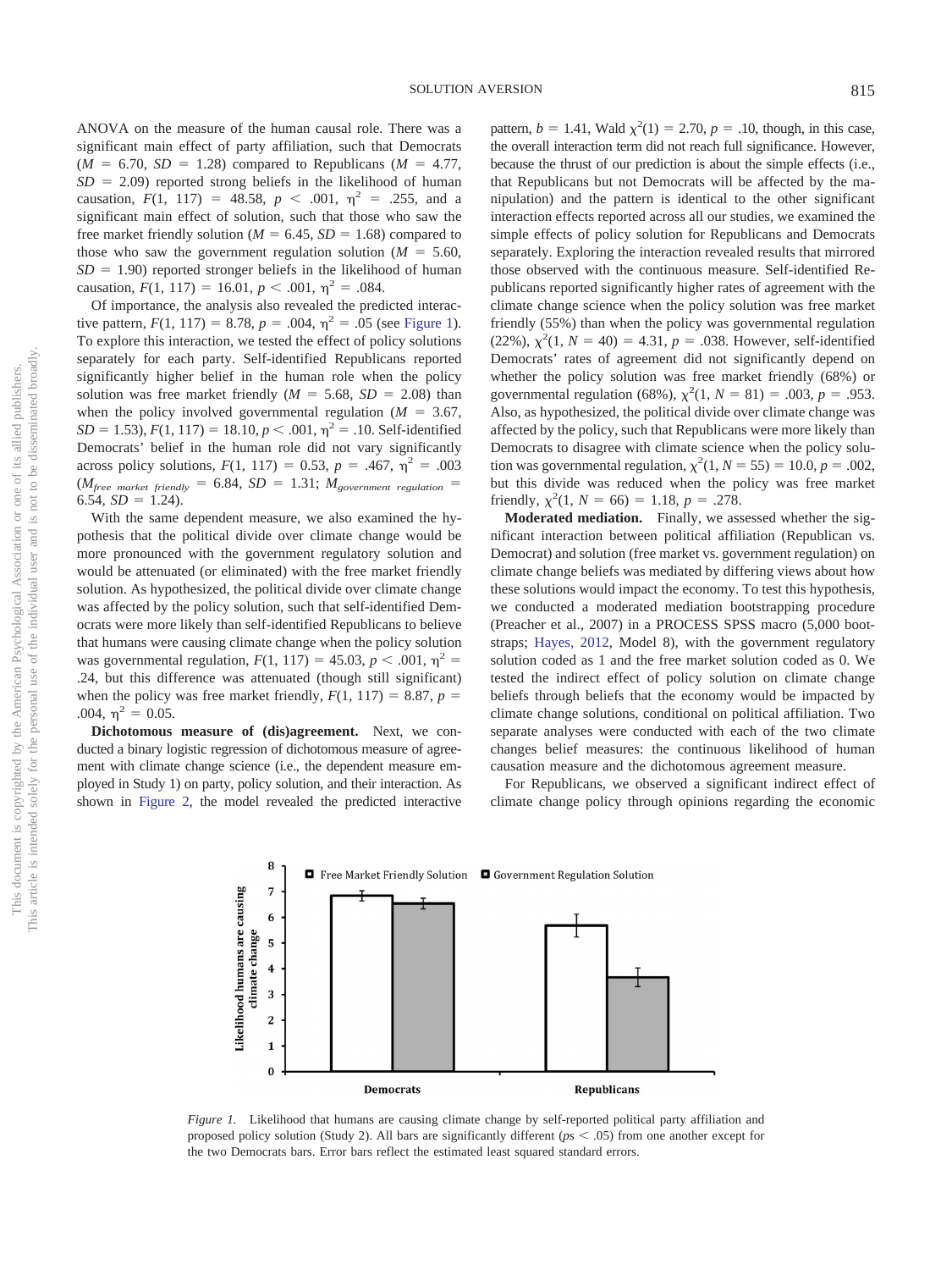ANOVA on the measure of the human causal role. There was a significant main effect of party affiliation, such that Democrats  $(M = 6.70, SD = 1.28)$  compared to Republicans  $(M = 4.77,$  $SD = 2.09$ ) reported strong beliefs in the likelihood of human causation,  $F(1, 117) = 48.58$ ,  $p < .001$ ,  $\eta^2 = .255$ , and a significant main effect of solution, such that those who saw the free market friendly solution ( $M = 6.45$ ,  $SD = 1.68$ ) compared to those who saw the government regulation solution  $(M = 5.60,$  $SD = 1.90$ ) reported stronger beliefs in the likelihood of human causation,  $F(1, 117) = 16.01$ ,  $p < .001$ ,  $\eta^2 = .084$ .

Of importance, the analysis also revealed the predicted interactive pattern,  $F(1, 117) = 8.78$ ,  $p = .004$ ,  $\eta^2 = .05$  (see [Figure 1\)](#page-6-0). To explore this interaction, we tested the effect of policy solutions separately for each party. Self-identified Republicans reported significantly higher belief in the human role when the policy solution was free market friendly  $(M = 5.68, SD = 2.08)$  than when the policy involved governmental regulation  $(M = 3.67,$  $SD = 1.53$ ,  $F(1, 117) = 18.10, p < .001, \eta^2 = .10$ . Self-identified Democrats' belief in the human role did not vary significantly across policy solutions,  $F(1, 117) = 0.53$ ,  $p = .467$ ,  $\eta^2 = .003$  $(M_{\text{free market friendly}} = 6.84, SD = 1.31; M_{\text{government regulation}} =$  $6.54, SD = 1.24$ .

With the same dependent measure, we also examined the hypothesis that the political divide over climate change would be more pronounced with the government regulatory solution and would be attenuated (or eliminated) with the free market friendly solution. As hypothesized, the political divide over climate change was affected by the policy solution, such that self-identified Democrats were more likely than self-identified Republicans to believe that humans were causing climate change when the policy solution was governmental regulation,  $F(1, 117) = 45.03$ ,  $p < .001$ ,  $\eta^2 =$ .24, but this difference was attenuated (though still significant) when the policy was free market friendly,  $F(1, 117) = 8.87$ ,  $p =$ .004,  $\eta^2 = 0.05$ .

**Dichotomous measure of (dis)agreement.** Next, we conducted a binary logistic regression of dichotomous measure of agreement with climate change science (i.e., the dependent measure employed in Study 1) on party, policy solution, and their interaction. As shown in [Figure 2,](#page-7-0) the model revealed the predicted interactive

pattern,  $b = 1.41$ , Wald  $\chi^2(1) = 2.70$ ,  $p = .10$ , though, in this case, the overall interaction term did not reach full significance. However, because the thrust of our prediction is about the simple effects (i.e., that Republicans but not Democrats will be affected by the manipulation) and the pattern is identical to the other significant interaction effects reported across all our studies, we examined the simple effects of policy solution for Republicans and Democrats separately. Exploring the interaction revealed results that mirrored those observed with the continuous measure. Self-identified Republicans reported significantly higher rates of agreement with the climate change science when the policy solution was free market friendly (55%) than when the policy was governmental regulation  $(22\%)$ ,  $\chi^2(1, N = 40) = 4.31$ ,  $p = .038$ . However, self-identified Democrats' rates of agreement did not significantly depend on whether the policy solution was free market friendly (68%) or governmental regulation (68%),  $\chi^2(1, N = 81) = .003$ ,  $p = .953$ . Also, as hypothesized, the political divide over climate change was affected by the policy, such that Republicans were more likely than Democrats to disagree with climate science when the policy solution was governmental regulation,  $\chi^2(1, N = 55) = 10.0, p = .002$ , but this divide was reduced when the policy was free market friendly,  $\chi^2(1, N = 66) = 1.18$ ,  $p = .278$ .

**Moderated mediation.** Finally, we assessed whether the significant interaction between political affiliation (Republican vs. Democrat) and solution (free market vs. government regulation) on climate change beliefs was mediated by differing views about how these solutions would impact the economy. To test this hypothesis, we conducted a moderated mediation bootstrapping procedure (Preacher et al., 2007) in a PROCESS SPSS macro (5,000 bootstraps; [Hayes, 2012,](#page-14-25) Model 8), with the government regulatory solution coded as 1 and the free market solution coded as 0. We tested the indirect effect of policy solution on climate change beliefs through beliefs that the economy would be impacted by climate change solutions, conditional on political affiliation. Two separate analyses were conducted with each of the two climate changes belief measures: the continuous likelihood of human causation measure and the dichotomous agreement measure.

For Republicans, we observed a significant indirect effect of climate change policy through opinions regarding the economic



<span id="page-6-0"></span>*Figure 1.* Likelihood that humans are causing climate change by self-reported political party affiliation and proposed policy solution (Study 2). All bars are significantly different (*p*s .05) from one another except for the two Democrats bars. Error bars reflect the estimated least squared standard errors.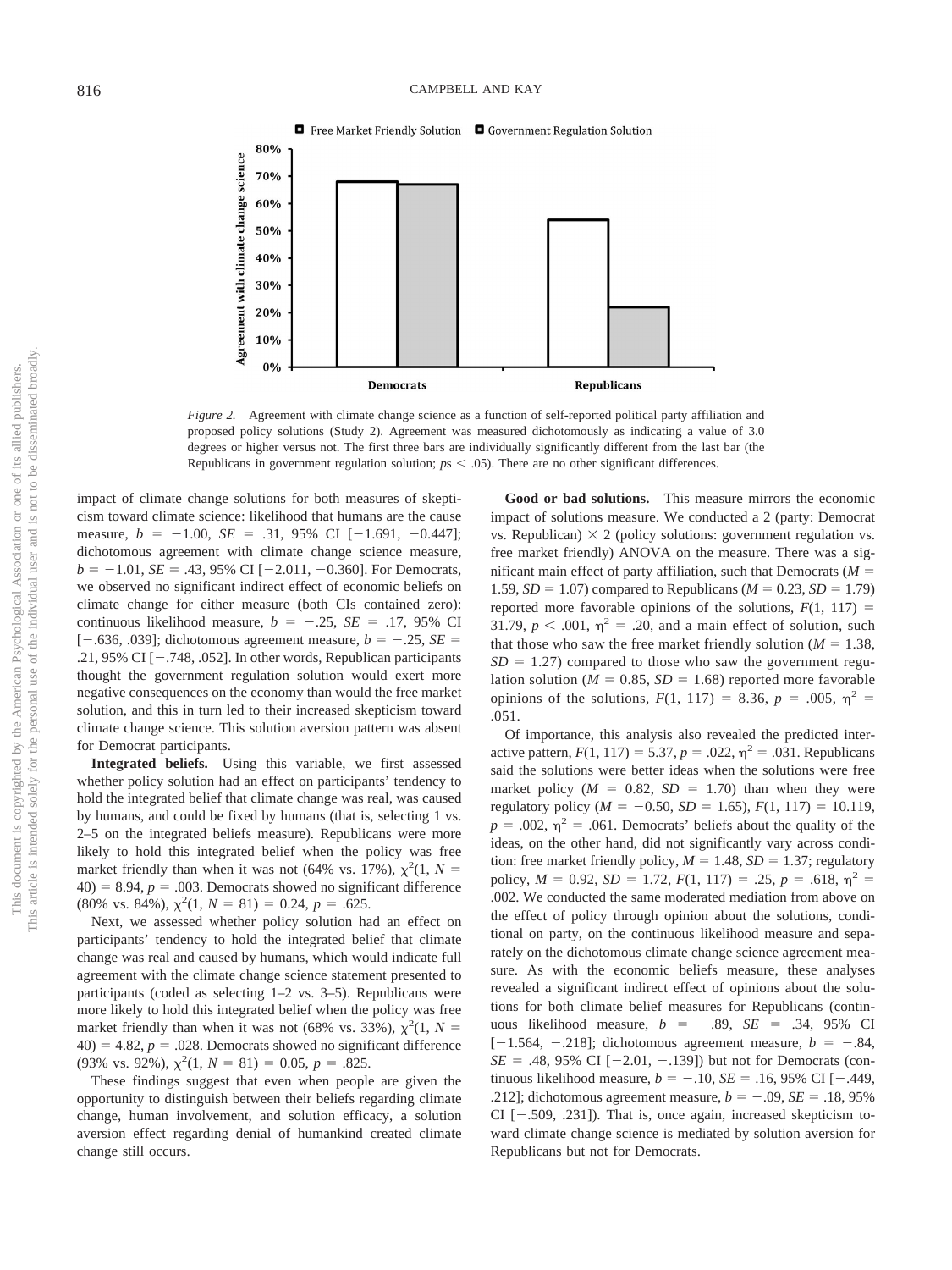

<span id="page-7-0"></span>*Figure 2.* Agreement with climate change science as a function of self-reported political party affiliation and proposed policy solutions (Study 2). Agreement was measured dichotomously as indicating a value of 3.0 degrees or higher versus not. The first three bars are individually significantly different from the last bar (the Republicans in government regulation solution;  $p_s < .05$ ). There are no other significant differences.

impact of climate change solutions for both measures of skepticism toward climate science: likelihood that humans are the cause measure,  $b = -1.00$ ,  $SE = .31$ , 95% CI  $[-1.691, -0.447]$ ; dichotomous agreement with climate change science measure,  $b = -1.01$ , *SE* = .43, 95% CI [-2.011, -0.360]. For Democrats, we observed no significant indirect effect of economic beliefs on climate change for either measure (both CIs contained zero): continuous likelihood measure,  $b = -.25$ ,  $SE = .17$ , 95% CI  $[-.636, .039]$ ; dichotomous agreement measure,  $b = -.25$ ,  $SE =$ .21, 95% CI  $[-.748, .052]$ . In other words, Republican participants thought the government regulation solution would exert more negative consequences on the economy than would the free market solution, and this in turn led to their increased skepticism toward climate change science. This solution aversion pattern was absent for Democrat participants.

**Integrated beliefs.** Using this variable, we first assessed whether policy solution had an effect on participants' tendency to hold the integrated belief that climate change was real, was caused by humans, and could be fixed by humans (that is, selecting 1 vs. 2–5 on the integrated beliefs measure). Republicans were more likely to hold this integrated belief when the policy was free market friendly than when it was not (64% vs. 17%),  $\chi^2(1, N =$  $40$ ) = 8.94,  $p = 0.003$ . Democrats showed no significant difference  $(80\% \text{ vs. } 84\%), \chi^2(1, N = 81) = 0.24, p = .625.$ 

Next, we assessed whether policy solution had an effect on participants' tendency to hold the integrated belief that climate change was real and caused by humans, which would indicate full agreement with the climate change science statement presented to participants (coded as selecting 1–2 vs. 3–5). Republicans were more likely to hold this integrated belief when the policy was free market friendly than when it was not (68% vs. 33%),  $\chi^2(1, N =$  $40$ ) = 4.82,  $p = 0.028$ . Democrats showed no significant difference  $(93\% \text{ vs. } 92\%), \chi^2(1, N = 81) = 0.05, p = .825.$ 

These findings suggest that even when people are given the opportunity to distinguish between their beliefs regarding climate change, human involvement, and solution efficacy, a solution aversion effect regarding denial of humankind created climate change still occurs.

**Good or bad solutions.** This measure mirrors the economic impact of solutions measure. We conducted a 2 (party: Democrat vs. Republican)  $\times$  2 (policy solutions: government regulation vs. free market friendly) ANOVA on the measure. There was a significant main effect of party affiliation, such that Democrats  $(M =$ 1.59,  $SD = 1.07$ ) compared to Republicans ( $M = 0.23$ ,  $SD = 1.79$ ) reported more favorable opinions of the solutions,  $F(1, 117) =$ 31.79,  $p < .001$ ,  $\eta^2 = .20$ , and a main effect of solution, such that those who saw the free market friendly solution  $(M = 1.38,$  $SD = 1.27$ ) compared to those who saw the government regulation solution ( $M = 0.85$ ,  $SD = 1.68$ ) reported more favorable opinions of the solutions,  $F(1, 117) = 8.36$ ,  $p = .005$ ,  $\eta^2 =$ .051.

Of importance, this analysis also revealed the predicted interactive pattern,  $F(1, 117) = 5.37$ ,  $p = .022$ ,  $\eta^2 = .031$ . Republicans said the solutions were better ideas when the solutions were free market policy  $(M = 0.82, SD = 1.70)$  than when they were regulatory policy ( $M = -0.50$ ,  $SD = 1.65$ ),  $F(1, 117) = 10.119$ ,  $p = .002$ ,  $\eta^2 = .061$ . Democrats' beliefs about the quality of the ideas, on the other hand, did not significantly vary across condition: free market friendly policy,  $M = 1.48$ ,  $SD = 1.37$ ; regulatory policy,  $M = 0.92$ ,  $SD = 1.72$ ,  $F(1, 117) = .25$ ,  $p = .618$ ,  $\eta^2 =$ .002. We conducted the same moderated mediation from above on the effect of policy through opinion about the solutions, conditional on party, on the continuous likelihood measure and separately on the dichotomous climate change science agreement measure. As with the economic beliefs measure, these analyses revealed a significant indirect effect of opinions about the solutions for both climate belief measures for Republicans (continuous likelihood measure,  $b = -.89$ ,  $SE = .34$ , 95% CI  $[-1.564, -0.218]$ ; dichotomous agreement measure,  $b = -.84$ ,  $SE = .48, 95\% \text{ CI } [-2.01, -0.139]$  but not for Democrats (continuous likelihood measure,  $b = -.10$ ,  $SE = .16$ , 95% CI [ $-.449$ , .212]; dichotomous agreement measure,  $b = -.09$ ,  $SE = .18$ , 95% CI  $[-.509, .231]$ ). That is, once again, increased skepticism toward climate change science is mediated by solution aversion for Republicans but not for Democrats.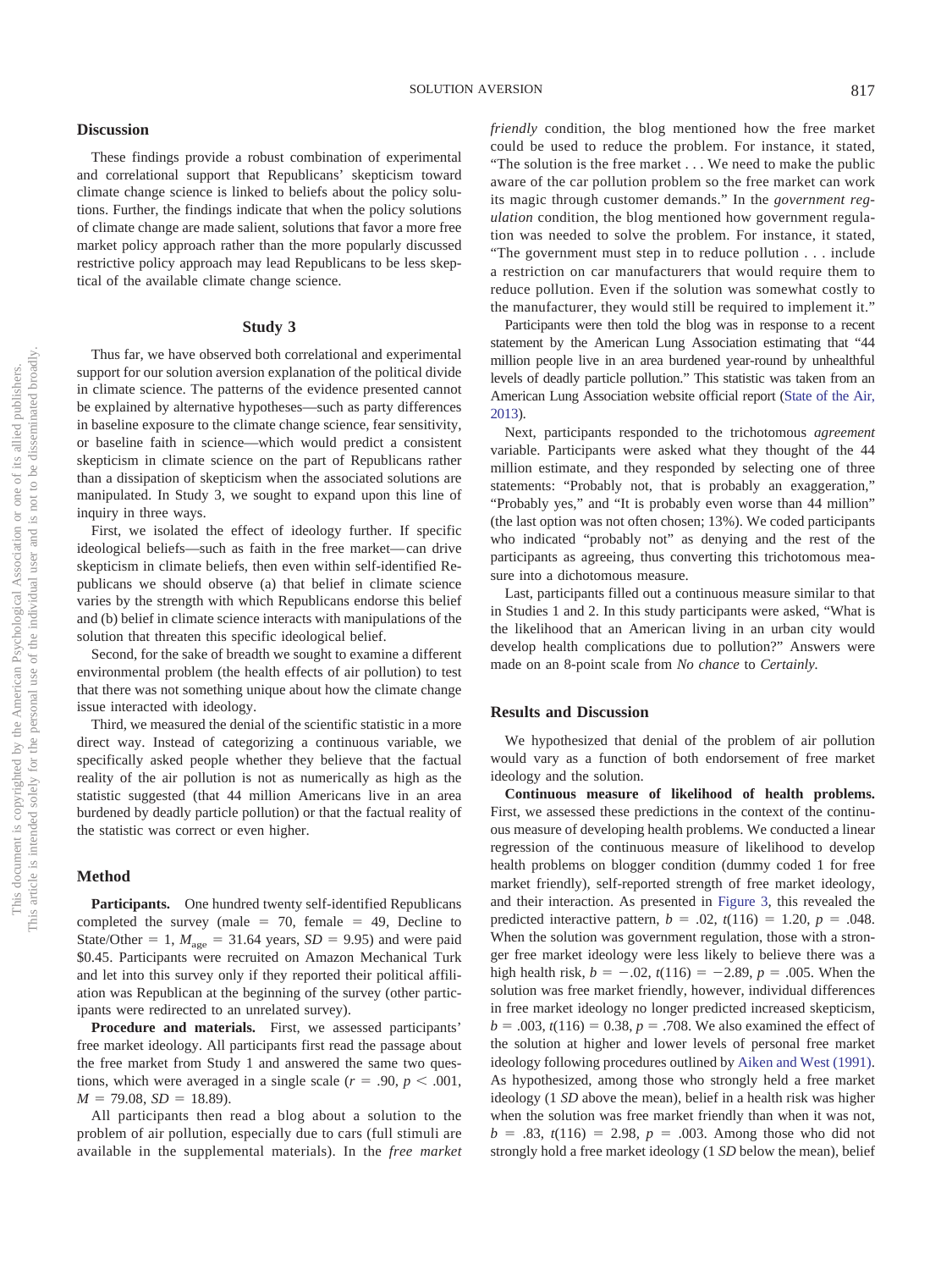#### **Discussion**

These findings provide a robust combination of experimental and correlational support that Republicans' skepticism toward climate change science is linked to beliefs about the policy solutions. Further, the findings indicate that when the policy solutions of climate change are made salient, solutions that favor a more free market policy approach rather than the more popularly discussed restrictive policy approach may lead Republicans to be less skeptical of the available climate change science.

# **Study 3**

Thus far, we have observed both correlational and experimental support for our solution aversion explanation of the political divide in climate science. The patterns of the evidence presented cannot be explained by alternative hypotheses—such as party differences in baseline exposure to the climate change science, fear sensitivity, or baseline faith in science—which would predict a consistent skepticism in climate science on the part of Republicans rather than a dissipation of skepticism when the associated solutions are manipulated. In Study 3, we sought to expand upon this line of inquiry in three ways.

First, we isolated the effect of ideology further. If specific ideological beliefs—such as faith in the free market— can drive skepticism in climate beliefs, then even within self-identified Republicans we should observe (a) that belief in climate science varies by the strength with which Republicans endorse this belief and (b) belief in climate science interacts with manipulations of the solution that threaten this specific ideological belief.

Second, for the sake of breadth we sought to examine a different environmental problem (the health effects of air pollution) to test that there was not something unique about how the climate change issue interacted with ideology.

Third, we measured the denial of the scientific statistic in a more direct way. Instead of categorizing a continuous variable, we specifically asked people whether they believe that the factual reality of the air pollution is not as numerically as high as the statistic suggested (that 44 million Americans live in an area burdened by deadly particle pollution) or that the factual reality of the statistic was correct or even higher.

## **Method**

**Participants.** One hundred twenty self-identified Republicans completed the survey (male  $= 70$ , female  $= 49$ , Decline to State/Other = 1,  $M_{\text{age}} = 31.64$  years,  $SD = 9.95$ ) and were paid \$0.45. Participants were recruited on Amazon Mechanical Turk and let into this survey only if they reported their political affiliation was Republican at the beginning of the survey (other participants were redirected to an unrelated survey).

**Procedure and materials.** First, we assessed participants' free market ideology. All participants first read the passage about the free market from Study 1 and answered the same two questions, which were averaged in a single scale  $(r = .90, p < .001,$  $M = 79.08$ ,  $SD = 18.89$ .

All participants then read a blog about a solution to the problem of air pollution, especially due to cars (full stimuli are available in the supplemental materials). In the *free market* *friendly* condition, the blog mentioned how the free market could be used to reduce the problem. For instance, it stated, "The solution is the free market . . . We need to make the public aware of the car pollution problem so the free market can work its magic through customer demands." In the *government regulation* condition, the blog mentioned how government regulation was needed to solve the problem. For instance, it stated, "The government must step in to reduce pollution... include a restriction on car manufacturers that would require them to reduce pollution. Even if the solution was somewhat costly to the manufacturer, they would still be required to implement it."

Participants were then told the blog was in response to a recent statement by the American Lung Association estimating that "44 million people live in an area burdened year-round by unhealthful levels of deadly particle pollution." This statistic was taken from an American Lung Association website official report [\(State of the Air,](#page-15-9) [2013\)](#page-15-9).

Next, participants responded to the trichotomous *agreement* variable. Participants were asked what they thought of the 44 million estimate, and they responded by selecting one of three statements: "Probably not, that is probably an exaggeration," "Probably yes," and "It is probably even worse than 44 million" (the last option was not often chosen; 13%). We coded participants who indicated "probably not" as denying and the rest of the participants as agreeing, thus converting this trichotomous measure into a dichotomous measure.

Last, participants filled out a continuous measure similar to that in Studies 1 and 2. In this study participants were asked, "What is the likelihood that an American living in an urban city would develop health complications due to pollution?" Answers were made on an 8-point scale from *No chance* to *Certainly.*

# **Results and Discussion**

We hypothesized that denial of the problem of air pollution would vary as a function of both endorsement of free market ideology and the solution.

**Continuous measure of likelihood of health problems.** First, we assessed these predictions in the context of the continuous measure of developing health problems. We conducted a linear regression of the continuous measure of likelihood to develop health problems on blogger condition (dummy coded 1 for free market friendly), self-reported strength of free market ideology, and their interaction. As presented in [Figure 3,](#page-9-0) this revealed the predicted interactive pattern,  $b = .02$ ,  $t(116) = 1.20$ ,  $p = .048$ . When the solution was government regulation, those with a stronger free market ideology were less likely to believe there was a high health risk,  $b = -.02$ ,  $t(116) = -2.89$ ,  $p = .005$ . When the solution was free market friendly, however, individual differences in free market ideology no longer predicted increased skepticism,  $b = 0.003$ ,  $t(116) = 0.38$ ,  $p = 0.708$ . We also examined the effect of the solution at higher and lower levels of personal free market ideology following procedures outlined by [Aiken and West \(1991\).](#page-13-3) As hypothesized, among those who strongly held a free market ideology (1 *SD* above the mean), belief in a health risk was higher when the solution was free market friendly than when it was not,  $b = .83$ ,  $t(116) = 2.98$ ,  $p = .003$ . Among those who did not strongly hold a free market ideology (1 *SD* below the mean), belief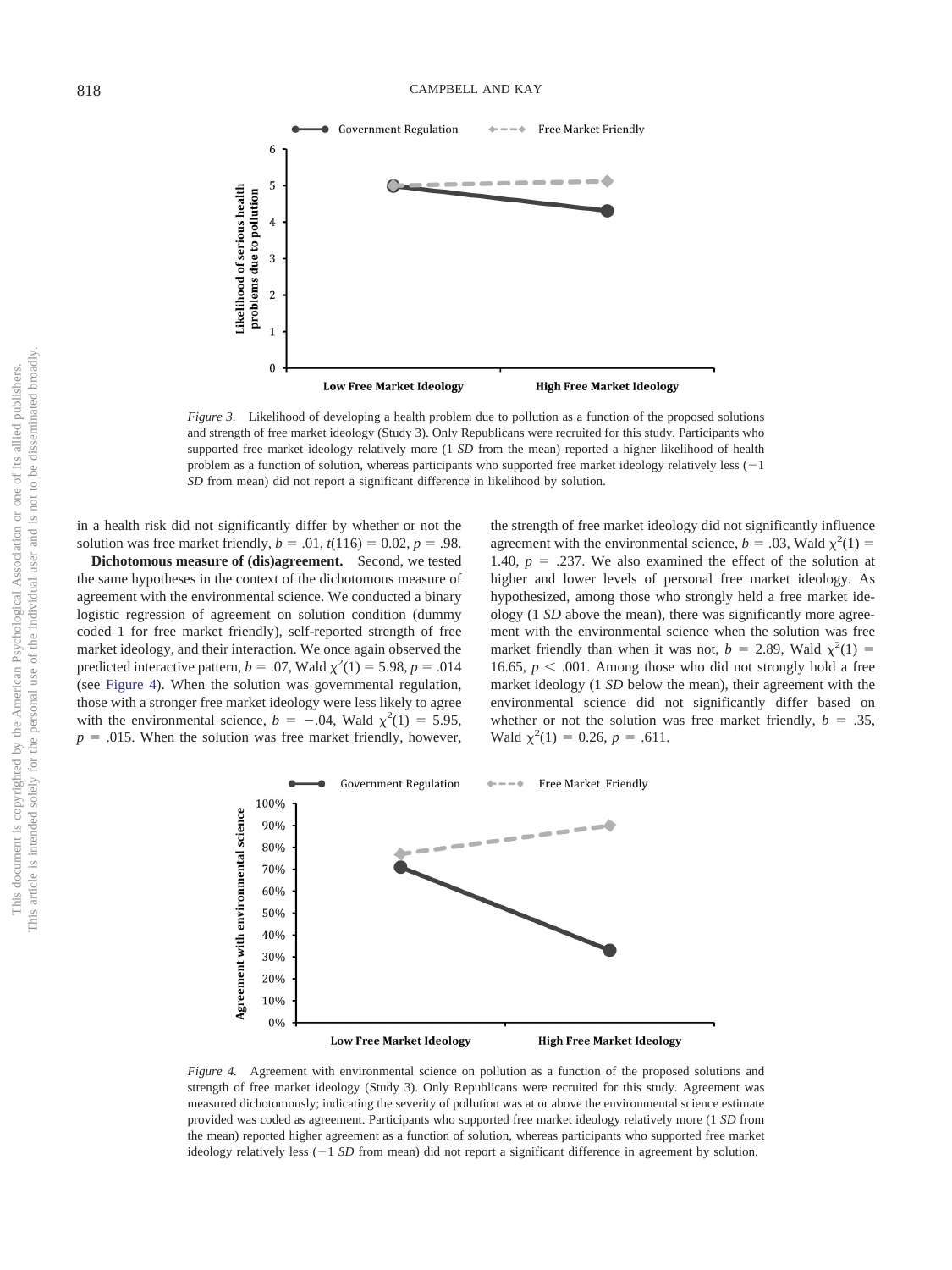

<span id="page-9-0"></span>*Figure 3.* Likelihood of developing a health problem due to pollution as a function of the proposed solutions and strength of free market ideology (Study 3). Only Republicans were recruited for this study. Participants who supported free market ideology relatively more (1 *SD* from the mean) reported a higher likelihood of health problem as a function of solution, whereas participants who supported free market ideology relatively less  $(-1)$ *SD* from mean) did not report a significant difference in likelihood by solution.

in a health risk did not significantly differ by whether or not the solution was free market friendly,  $b = .01$ ,  $t(116) = 0.02$ ,  $p = .98$ .

**Dichotomous measure of (dis)agreement.** Second, we tested the same hypotheses in the context of the dichotomous measure of agreement with the environmental science. We conducted a binary logistic regression of agreement on solution condition (dummy coded 1 for free market friendly), self-reported strength of free market ideology, and their interaction. We once again observed the predicted interactive pattern,  $b = .07$ , Wald  $\chi^2(1) = 5.98$ ,  $p = .014$ (see [Figure 4\)](#page-9-1). When the solution was governmental regulation, those with a stronger free market ideology were less likely to agree with the environmental science,  $b = -.04$ , Wald  $\chi^2(1) = 5.95$ ,  $p = 0.015$ . When the solution was free market friendly, however,

the strength of free market ideology did not significantly influence agreement with the environmental science,  $b = .03$ , Wald  $\chi^2(1) =$ 1.40,  $p = .237$ . We also examined the effect of the solution at higher and lower levels of personal free market ideology. As hypothesized, among those who strongly held a free market ideology (1 *SD* above the mean), there was significantly more agreement with the environmental science when the solution was free market friendly than when it was not,  $b = 2.89$ , Wald  $\chi^2(1) =$ 16.65,  $p < .001$ . Among those who did not strongly hold a free market ideology (1 *SD* below the mean), their agreement with the environmental science did not significantly differ based on whether or not the solution was free market friendly,  $b = .35$ , Wald  $\chi^2(1) = 0.26$ ,  $p = .611$ .



<span id="page-9-1"></span>*Figure 4.* Agreement with environmental science on pollution as a function of the proposed solutions and strength of free market ideology (Study 3). Only Republicans were recruited for this study. Agreement was measured dichotomously; indicating the severity of pollution was at or above the environmental science estimate provided was coded as agreement. Participants who supported free market ideology relatively more (1 *SD* from the mean) reported higher agreement as a function of solution, whereas participants who supported free market ideology relatively less  $(-1 SD$  from mean) did not report a significant difference in agreement by solution.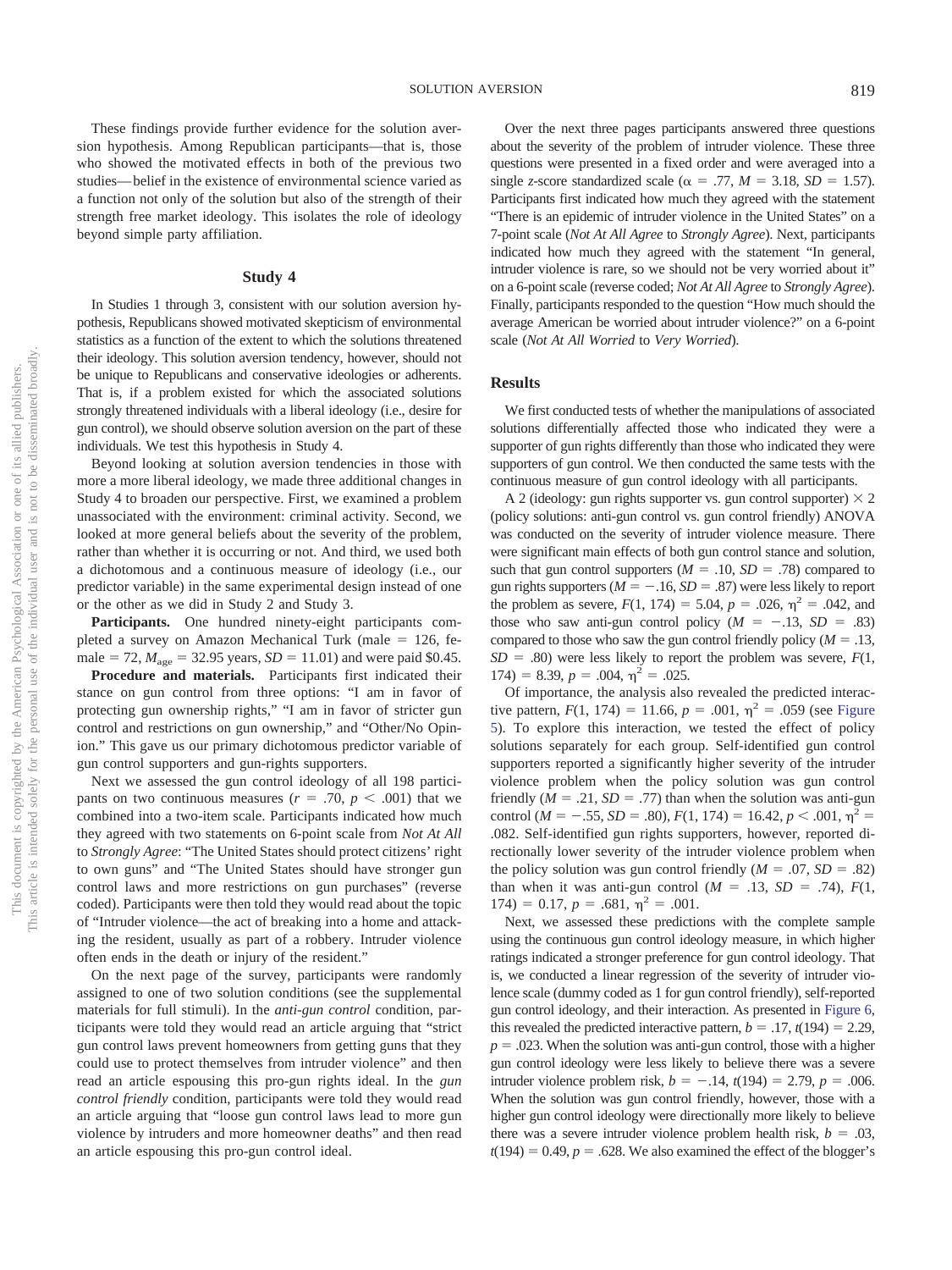These findings provide further evidence for the solution aversion hypothesis. Among Republican participants—that is, those who showed the motivated effects in both of the previous two studies— belief in the existence of environmental science varied as a function not only of the solution but also of the strength of their strength free market ideology. This isolates the role of ideology beyond simple party affiliation.

#### **Study 4**

In Studies 1 through 3, consistent with our solution aversion hypothesis, Republicans showed motivated skepticism of environmental statistics as a function of the extent to which the solutions threatened their ideology. This solution aversion tendency, however, should not be unique to Republicans and conservative ideologies or adherents. That is, if a problem existed for which the associated solutions strongly threatened individuals with a liberal ideology (i.e., desire for gun control), we should observe solution aversion on the part of these individuals. We test this hypothesis in Study 4.

Beyond looking at solution aversion tendencies in those with more a more liberal ideology, we made three additional changes in Study 4 to broaden our perspective. First, we examined a problem unassociated with the environment: criminal activity. Second, we looked at more general beliefs about the severity of the problem, rather than whether it is occurring or not. And third, we used both a dichotomous and a continuous measure of ideology (i.e., our predictor variable) in the same experimental design instead of one or the other as we did in Study 2 and Study 3.

**Participants.** One hundred ninety-eight participants completed a survey on Amazon Mechanical Turk (male  $= 126$ , female =  $72$ ,  $M_{\text{age}} = 32.95$  years,  $SD = 11.01$ ) and were paid \$0.45.

**Procedure and materials.** Participants first indicated their stance on gun control from three options: "I am in favor of protecting gun ownership rights," "I am in favor of stricter gun control and restrictions on gun ownership," and "Other/No Opinion." This gave us our primary dichotomous predictor variable of gun control supporters and gun-rights supporters.

Next we assessed the gun control ideology of all 198 participants on two continuous measures ( $r = .70$ ,  $p < .001$ ) that we combined into a two-item scale. Participants indicated how much they agreed with two statements on 6-point scale from *Not At All* to *Strongly Agree*: "The United States should protect citizens' right to own guns" and "The United States should have stronger gun control laws and more restrictions on gun purchases" (reverse coded). Participants were then told they would read about the topic of "Intruder violence—the act of breaking into a home and attacking the resident, usually as part of a robbery. Intruder violence often ends in the death or injury of the resident."

On the next page of the survey, participants were randomly assigned to one of two solution conditions (see the supplemental materials for full stimuli). In the *anti-gun control* condition, participants were told they would read an article arguing that "strict gun control laws prevent homeowners from getting guns that they could use to protect themselves from intruder violence" and then read an article espousing this pro-gun rights ideal. In the *gun control friendly* condition, participants were told they would read an article arguing that "loose gun control laws lead to more gun violence by intruders and more homeowner deaths" and then read an article espousing this pro-gun control ideal.

Over the next three pages participants answered three questions about the severity of the problem of intruder violence. These three questions were presented in a fixed order and were averaged into a single *z*-score standardized scale ( $\alpha = .77$ ,  $M = 3.18$ ,  $SD = 1.57$ ). Participants first indicated how much they agreed with the statement "There is an epidemic of intruder violence in the United States" on a 7-point scale (*Not At All Agree* to *Strongly Agree*). Next, participants indicated how much they agreed with the statement "In general, intruder violence is rare, so we should not be very worried about it" on a 6-point scale (reverse coded; *Not At All Agree* to *Strongly Agree*). Finally, participants responded to the question "How much should the average American be worried about intruder violence?" on a 6-point scale (*Not At All Worried* to *Very Worried*).

## **Results**

We first conducted tests of whether the manipulations of associated solutions differentially affected those who indicated they were a supporter of gun rights differently than those who indicated they were supporters of gun control. We then conducted the same tests with the continuous measure of gun control ideology with all participants.

A 2 (ideology: gun rights supporter vs. gun control supporter)  $\times$  2 (policy solutions: anti-gun control vs. gun control friendly) ANOVA was conducted on the severity of intruder violence measure. There were significant main effects of both gun control stance and solution, such that gun control supporters  $(M = .10, SD = .78)$  compared to gun rights supporters  $(M = -.16, SD = .87)$  were less likely to report the problem as severe,  $F(1, 174) = 5.04$ ,  $p = .026$ ,  $\eta^2 = .042$ , and those who saw anti-gun control policy  $(M = -.13, SD = .83)$ compared to those who saw the gun control friendly policy ( $M = .13$ ,  $SD = .80$ ) were less likely to report the problem was severe,  $F(1, 1)$  $174$ ) = 8.39,  $p = .004$ ,  $\eta^2 = .025$ .

Of importance, the analysis also revealed the predicted interactive pattern,  $F(1, 174) = 11.66$ ,  $p = .001$ ,  $\eta^2 = .059$  (see [Figure](#page-11-0) [5\)](#page-11-0). To explore this interaction, we tested the effect of policy solutions separately for each group. Self-identified gun control supporters reported a significantly higher severity of the intruder violence problem when the policy solution was gun control friendly ( $M = .21$ ,  $SD = .77$ ) than when the solution was anti-gun control ( $M = -.55$ ,  $SD = .80$ ),  $F(1, 174) = 16.42$ ,  $p < .001$ ,  $\eta^2 =$ .082. Self-identified gun rights supporters, however, reported directionally lower severity of the intruder violence problem when the policy solution was gun control friendly  $(M = .07, SD = .82)$ than when it was anti-gun control  $(M = .13, SD = .74)$ ,  $F(1,$  $174$ ) = 0.17,  $p = .681$ ,  $\eta^2 = .001$ .

Next, we assessed these predictions with the complete sample using the continuous gun control ideology measure, in which higher ratings indicated a stronger preference for gun control ideology. That is, we conducted a linear regression of the severity of intruder violence scale (dummy coded as 1 for gun control friendly), self-reported gun control ideology, and their interaction. As presented in [Figure 6,](#page-11-1) this revealed the predicted interactive pattern,  $b = .17$ ,  $t(194) = 2.29$ ,  $p = 0.023$ . When the solution was anti-gun control, those with a higher gun control ideology were less likely to believe there was a severe intruder violence problem risk,  $b = -.14$ ,  $t(194) = 2.79$ ,  $p = .006$ . When the solution was gun control friendly, however, those with a higher gun control ideology were directionally more likely to believe there was a severe intruder violence problem health risk,  $b = .03$ ,  $t(194) = 0.49$ ,  $p = 0.628$ . We also examined the effect of the blogger's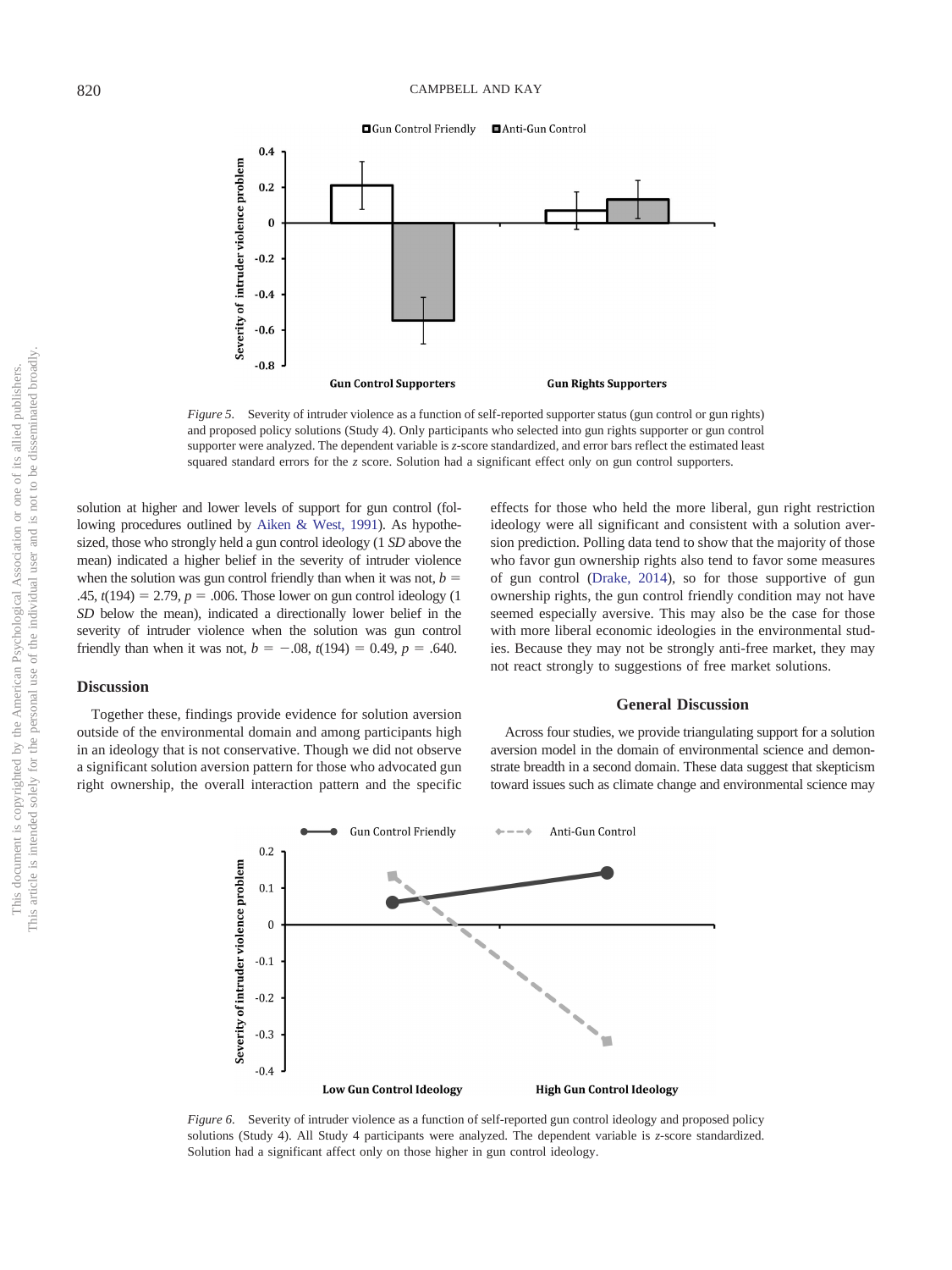#### 820 CAMPBELL AND KAY



<span id="page-11-0"></span>*Figure 5.* Severity of intruder violence as a function of self-reported supporter status (gun control or gun rights) and proposed policy solutions (Study 4). Only participants who selected into gun rights supporter or gun control supporter were analyzed. The dependent variable is *z*-score standardized, and error bars reflect the estimated least squared standard errors for the *z* score. Solution had a significant effect only on gun control supporters.

solution at higher and lower levels of support for gun control (following procedures outlined by [Aiken & West, 1991\)](#page-13-3). As hypothesized, those who strongly held a gun control ideology (1 *SD* above the mean) indicated a higher belief in the severity of intruder violence when the solution was gun control friendly than when it was not,  $b =$  $.45, t(194) = 2.79, p = .006$ . Those lower on gun control ideology (1) *SD* below the mean), indicated a directionally lower belief in the severity of intruder violence when the solution was gun control friendly than when it was not,  $b = -.08$ ,  $t(194) = 0.49$ ,  $p = .640$ .

# **Discussion**

Together these, findings provide evidence for solution aversion outside of the environmental domain and among participants high in an ideology that is not conservative. Though we did not observe a significant solution aversion pattern for those who advocated gun right ownership, the overall interaction pattern and the specific effects for those who held the more liberal, gun right restriction ideology were all significant and consistent with a solution aversion prediction. Polling data tend to show that the majority of those who favor gun ownership rights also tend to favor some measures of gun control [\(Drake, 2014\)](#page-14-26), so for those supportive of gun ownership rights, the gun control friendly condition may not have seemed especially aversive. This may also be the case for those with more liberal economic ideologies in the environmental studies. Because they may not be strongly anti-free market, they may not react strongly to suggestions of free market solutions.

#### **General Discussion**

Across four studies, we provide triangulating support for a solution aversion model in the domain of environmental science and demonstrate breadth in a second domain. These data suggest that skepticism toward issues such as climate change and environmental science may



<span id="page-11-1"></span>*Figure 6.* Severity of intruder violence as a function of self-reported gun control ideology and proposed policy solutions (Study 4). All Study 4 participants were analyzed. The dependent variable is *z*-score standardized. Solution had a significant affect only on those higher in gun control ideology.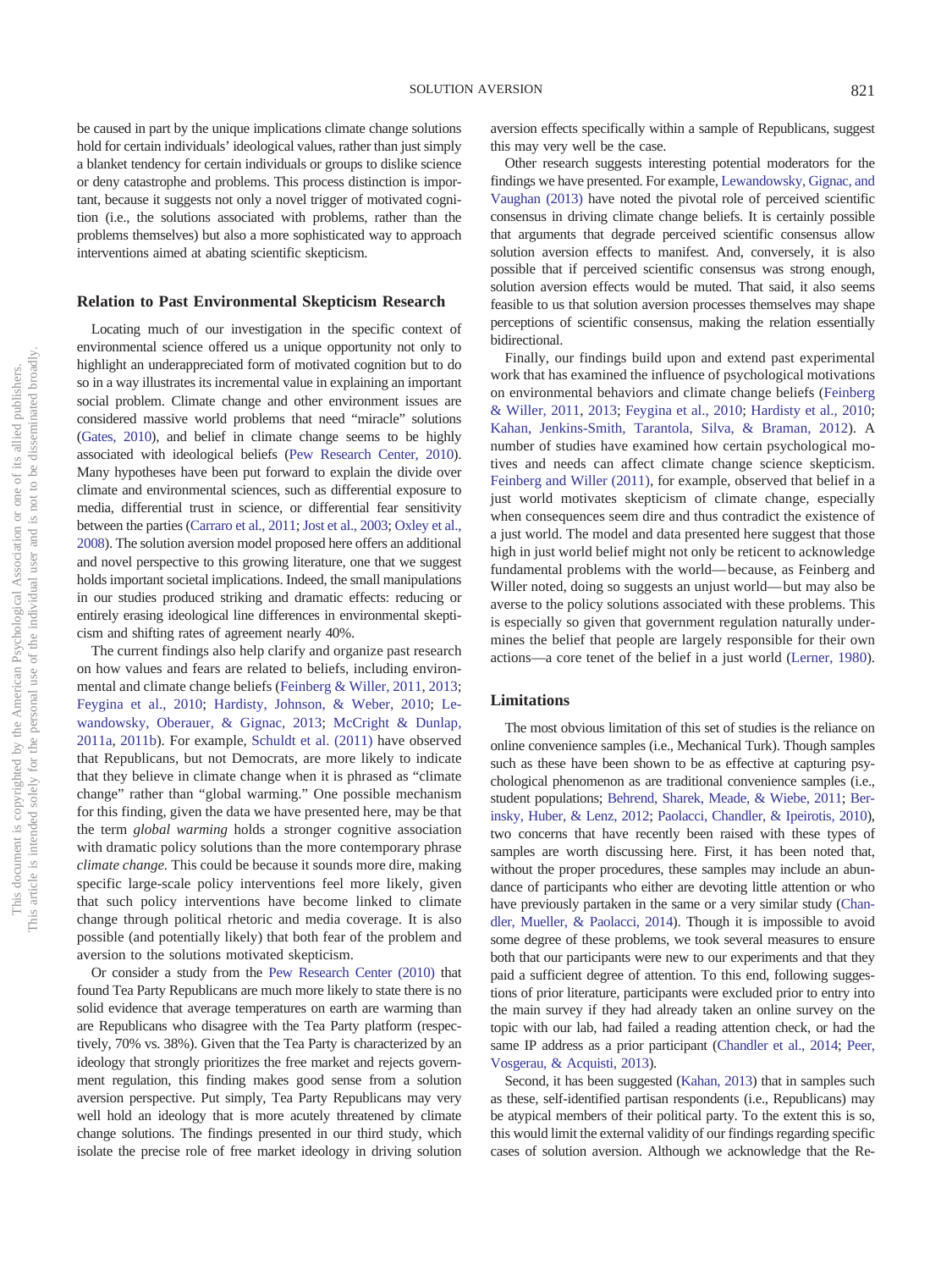be caused in part by the unique implications climate change solutions hold for certain individuals' ideological values, rather than just simply a blanket tendency for certain individuals or groups to dislike science or deny catastrophe and problems. This process distinction is important, because it suggests not only a novel trigger of motivated cognition (i.e., the solutions associated with problems, rather than the problems themselves) but also a more sophisticated way to approach interventions aimed at abating scientific skepticism.

## **Relation to Past Environmental Skepticism Research**

Locating much of our investigation in the specific context of environmental science offered us a unique opportunity not only to highlight an underappreciated form of motivated cognition but to do so in a way illustrates its incremental value in explaining an important social problem. Climate change and other environment issues are considered massive world problems that need "miracle" solutions [\(Gates, 2010\)](#page-14-27), and belief in climate change seems to be highly associated with ideological beliefs [\(Pew Research Center, 2010\)](#page-15-0). Many hypotheses have been put forward to explain the divide over climate and environmental sciences, such as differential exposure to media, differential trust in science, or differential fear sensitivity between the parties [\(Carraro et al., 2011;](#page-14-0) [Jost et al., 2003;](#page-14-1) [Oxley et al.,](#page-15-2) [2008\)](#page-15-2). The solution aversion model proposed here offers an additional and novel perspective to this growing literature, one that we suggest holds important societal implications. Indeed, the small manipulations in our studies produced striking and dramatic effects: reducing or entirely erasing ideological line differences in environmental skepticism and shifting rates of agreement nearly 40%.

The current findings also help clarify and organize past research on how values and fears are related to beliefs, including environmental and climate change beliefs [\(Feinberg & Willer, 2011,](#page-14-22) [2013;](#page-14-28) [Feygina et al., 2010;](#page-14-23) [Hardisty, Johnson, & Weber, 2010;](#page-14-29) [Le](#page-15-17)[wandowsky, Oberauer, & Gignac, 2013;](#page-15-17) [McCright & Dunlap,](#page-15-6) [2011a,](#page-15-6) [2011b\)](#page-15-7). For example, [Schuldt et al. \(2011\)](#page-15-1) have observed that Republicans, but not Democrats, are more likely to indicate that they believe in climate change when it is phrased as "climate change" rather than "global warming." One possible mechanism for this finding, given the data we have presented here, may be that the term *global warming* holds a stronger cognitive association with dramatic policy solutions than the more contemporary phrase *climate change.* This could be because it sounds more dire, making specific large-scale policy interventions feel more likely, given that such policy interventions have become linked to climate change through political rhetoric and media coverage. It is also possible (and potentially likely) that both fear of the problem and aversion to the solutions motivated skepticism.

Or consider a study from the [Pew Research Center \(2010\)](#page-15-0) that found Tea Party Republicans are much more likely to state there is no solid evidence that average temperatures on earth are warming than are Republicans who disagree with the Tea Party platform (respectively, 70% vs. 38%). Given that the Tea Party is characterized by an ideology that strongly prioritizes the free market and rejects government regulation, this finding makes good sense from a solution aversion perspective. Put simply, Tea Party Republicans may very well hold an ideology that is more acutely threatened by climate change solutions. The findings presented in our third study, which isolate the precise role of free market ideology in driving solution

aversion effects specifically within a sample of Republicans, suggest this may very well be the case.

Other research suggests interesting potential moderators for the findings we have presented. For example, [Lewandowsky, Gignac, and](#page-15-18) [Vaughan \(2013\)](#page-15-18) have noted the pivotal role of perceived scientific consensus in driving climate change beliefs. It is certainly possible that arguments that degrade perceived scientific consensus allow solution aversion effects to manifest. And, conversely, it is also possible that if perceived scientific consensus was strong enough, solution aversion effects would be muted. That said, it also seems feasible to us that solution aversion processes themselves may shape perceptions of scientific consensus, making the relation essentially bidirectional.

Finally, our findings build upon and extend past experimental work that has examined the influence of psychological motivations on environmental behaviors and climate change beliefs [\(Feinberg](#page-14-22) [& Willer, 2011,](#page-14-22) [2013;](#page-14-28) [Feygina et al., 2010;](#page-14-23) [Hardisty et al., 2010;](#page-14-29) [Kahan, Jenkins-Smith, Tarantola, Silva, & Braman, 2012\)](#page-14-30). A number of studies have examined how certain psychological motives and needs can affect climate change science skepticism. [Feinberg and Willer \(2011\),](#page-14-22) for example, observed that belief in a just world motivates skepticism of climate change, especially when consequences seem dire and thus contradict the existence of a just world. The model and data presented here suggest that those high in just world belief might not only be reticent to acknowledge fundamental problems with the world— because, as Feinberg and Willer noted, doing so suggests an unjust world— but may also be averse to the policy solutions associated with these problems. This is especially so given that government regulation naturally undermines the belief that people are largely responsible for their own actions—a core tenet of the belief in a just world [\(Lerner, 1980\)](#page-14-31).

# **Limitations**

The most obvious limitation of this set of studies is the reliance on online convenience samples (i.e., Mechanical Turk). Though samples such as these have been shown to be as effective at capturing psychological phenomenon as are traditional convenience samples (i.e., student populations; [Behrend, Sharek, Meade, & Wiebe, 2011;](#page-13-4) [Ber](#page-13-5)[insky, Huber, & Lenz, 2012;](#page-13-5) [Paolacci, Chandler, & Ipeirotis, 2010\)](#page-15-19), two concerns that have recently been raised with these types of samples are worth discussing here. First, it has been noted that, without the proper procedures, these samples may include an abundance of participants who either are devoting little attention or who have previously partaken in the same or a very similar study [\(Chan](#page-14-32)[dler, Mueller, & Paolacci, 2014\)](#page-14-32). Though it is impossible to avoid some degree of these problems, we took several measures to ensure both that our participants were new to our experiments and that they paid a sufficient degree of attention. To this end, following suggestions of prior literature, participants were excluded prior to entry into the main survey if they had already taken an online survey on the topic with our lab, had failed a reading attention check, or had the same IP address as a prior participant [\(Chandler et al., 2014;](#page-14-32) [Peer,](#page-15-20) [Vosgerau, & Acquisti, 2013\)](#page-15-20).

Second, it has been suggested [\(Kahan, 2013\)](#page-14-33) that in samples such as these, self-identified partisan respondents (i.e., Republicans) may be atypical members of their political party. To the extent this is so, this would limit the external validity of our findings regarding specific cases of solution aversion. Although we acknowledge that the Re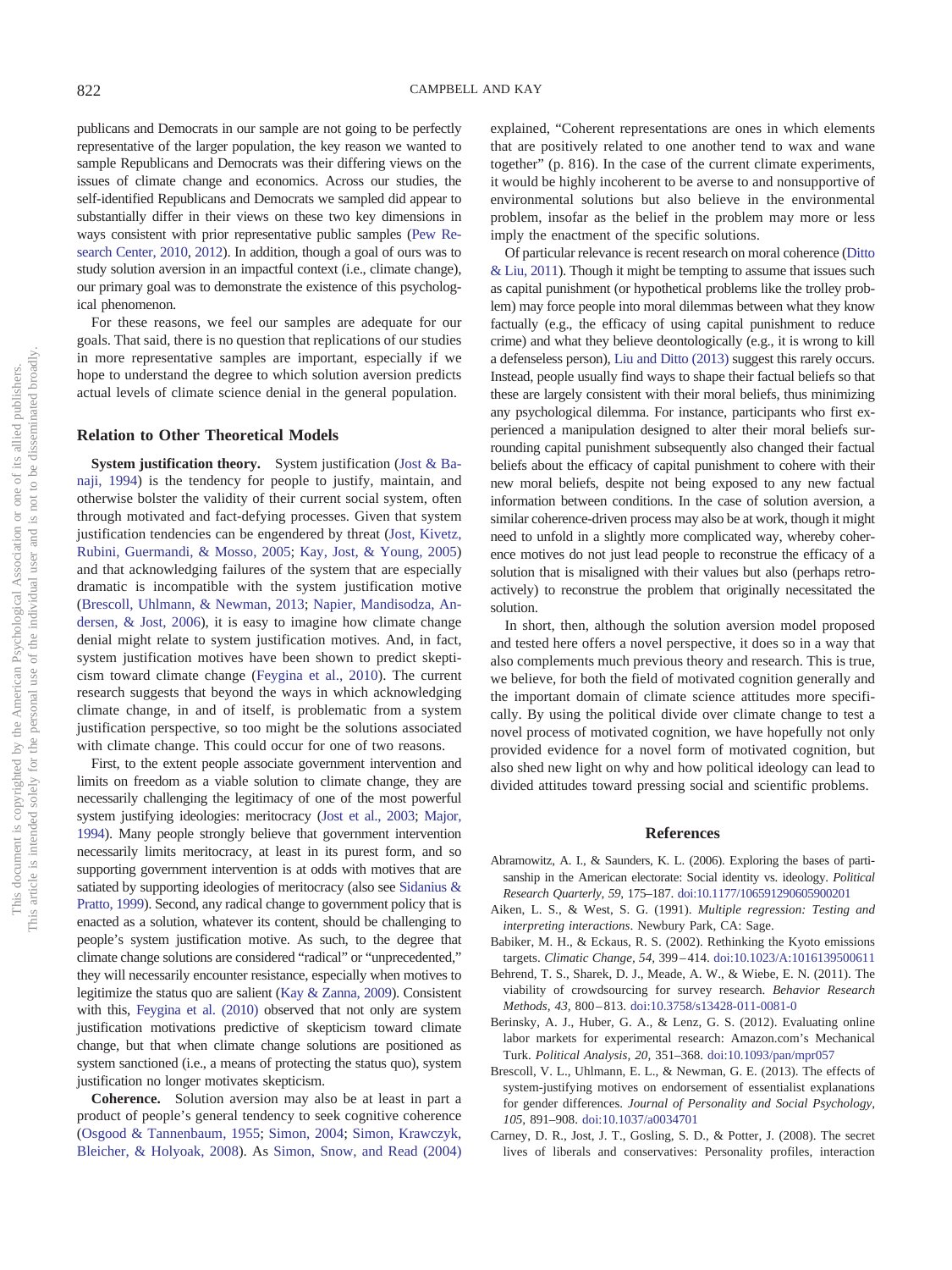publicans and Democrats in our sample are not going to be perfectly representative of the larger population, the key reason we wanted to sample Republicans and Democrats was their differing views on the issues of climate change and economics. Across our studies, the self-identified Republicans and Democrats we sampled did appear to substantially differ in their views on these two key dimensions in ways consistent with prior representative public samples [\(Pew Re](#page-15-0)[search Center, 2010,](#page-15-0) [2012\)](#page-15-21). In addition, though a goal of ours was to study solution aversion in an impactful context (i.e., climate change), our primary goal was to demonstrate the existence of this psychological phenomenon.

For these reasons, we feel our samples are adequate for our goals. That said, there is no question that replications of our studies in more representative samples are important, especially if we hope to understand the degree to which solution aversion predicts actual levels of climate science denial in the general population.

## **Relation to Other Theoretical Models**

**System justification theory.** System justification [\(Jost & Ba](#page-14-34)[naji, 1994\)](#page-14-34) is the tendency for people to justify, maintain, and otherwise bolster the validity of their current social system, often through motivated and fact-defying processes. Given that system justification tendencies can be engendered by threat [\(Jost, Kivetz,](#page-14-35) [Rubini, Guermandi, & Mosso, 2005;](#page-14-35) [Kay, Jost, & Young, 2005\)](#page-14-36) and that acknowledging failures of the system that are especially dramatic is incompatible with the system justification motive [\(Brescoll, Uhlmann, & Newman, 2013;](#page-13-6) [Napier, Mandisodza, An](#page-15-22)[dersen, & Jost, 2006\)](#page-15-22), it is easy to imagine how climate change denial might relate to system justification motives. And, in fact, system justification motives have been shown to predict skepticism toward climate change [\(Feygina et al., 2010\)](#page-14-23). The current research suggests that beyond the ways in which acknowledging climate change, in and of itself, is problematic from a system justification perspective, so too might be the solutions associated with climate change. This could occur for one of two reasons.

First, to the extent people associate government intervention and limits on freedom as a viable solution to climate change, they are necessarily challenging the legitimacy of one of the most powerful system justifying ideologies: meritocracy [\(Jost et al., 2003;](#page-14-1) [Major,](#page-15-23) [1994\)](#page-15-23). Many people strongly believe that government intervention necessarily limits meritocracy, at least in its purest form, and so supporting government intervention is at odds with motives that are satiated by supporting ideologies of meritocracy (also see [Sidanius &](#page-15-24) [Pratto, 1999\)](#page-15-24). Second, any radical change to government policy that is enacted as a solution, whatever its content, should be challenging to people's system justification motive. As such, to the degree that climate change solutions are considered "radical" or "unprecedented," they will necessarily encounter resistance, especially when motives to legitimize the status quo are salient [\(Kay & Zanna, 2009\)](#page-14-37). Consistent with this, [Feygina et al. \(2010\)](#page-14-23) observed that not only are system justification motivations predictive of skepticism toward climate change, but that when climate change solutions are positioned as system sanctioned (i.e., a means of protecting the status quo), system justification no longer motivates skepticism.

**Coherence.** Solution aversion may also be at least in part a product of people's general tendency to seek cognitive coherence [\(Osgood & Tannenbaum, 1955;](#page-15-25) [Simon, 2004;](#page-15-26) [Simon, Krawczyk,](#page-15-27) [Bleicher, & Holyoak, 2008\)](#page-15-27). As [Simon, Snow, and Read \(2004\)](#page-15-28)

explained, "Coherent representations are ones in which elements that are positively related to one another tend to wax and wane together" (p. 816). In the case of the current climate experiments, it would be highly incoherent to be averse to and nonsupportive of environmental solutions but also believe in the environmental problem, insofar as the belief in the problem may more or less imply the enactment of the specific solutions.

Of particular relevance is recent research on moral coherence [\(Ditto](#page-14-14) [& Liu, 2011\)](#page-14-14). Though it might be tempting to assume that issues such as capital punishment (or hypothetical problems like the trolley problem) may force people into moral dilemmas between what they know factually (e.g., the efficacy of using capital punishment to reduce crime) and what they believe deontologically (e.g., it is wrong to kill a defenseless person), [Liu and Ditto \(2013\)](#page-15-29) suggest this rarely occurs. Instead, people usually find ways to shape their factual beliefs so that these are largely consistent with their moral beliefs, thus minimizing any psychological dilemma. For instance, participants who first experienced a manipulation designed to alter their moral beliefs surrounding capital punishment subsequently also changed their factual beliefs about the efficacy of capital punishment to cohere with their new moral beliefs, despite not being exposed to any new factual information between conditions. In the case of solution aversion, a similar coherence-driven process may also be at work, though it might need to unfold in a slightly more complicated way, whereby coherence motives do not just lead people to reconstrue the efficacy of a solution that is misaligned with their values but also (perhaps retroactively) to reconstrue the problem that originally necessitated the solution.

In short, then, although the solution aversion model proposed and tested here offers a novel perspective, it does so in a way that also complements much previous theory and research. This is true, we believe, for both the field of motivated cognition generally and the important domain of climate science attitudes more specifically. By using the political divide over climate change to test a novel process of motivated cognition, we have hopefully not only provided evidence for a novel form of motivated cognition, but also shed new light on why and how political ideology can lead to divided attitudes toward pressing social and scientific problems.

#### **References**

- <span id="page-13-2"></span>Abramowitz, A. I., & Saunders, K. L. (2006). Exploring the bases of partisanship in the American electorate: Social identity vs. ideology. *Political Research Quarterly, 59,* 175–187. [doi:10.1177/106591290605900201](http://dx.doi.org/10.1177/106591290605900201)
- <span id="page-13-3"></span>Aiken, L. S., & West, S. G. (1991). *Multiple regression: Testing and interpreting interactions*. Newbury Park, CA: Sage.
- <span id="page-13-1"></span>Babiker, M. H., & Eckaus, R. S. (2002). Rethinking the Kyoto emissions targets. *Climatic Change, 54,* 399 – 414. [doi:10.1023/A:1016139500611](http://dx.doi.org/10.1023/A:1016139500611)
- <span id="page-13-4"></span>Behrend, T. S., Sharek, D. J., Meade, A. W., & Wiebe, E. N. (2011). The viability of crowdsourcing for survey research. *Behavior Research Methods, 43,* 800 – 813. [doi:10.3758/s13428-011-0081-0](http://dx.doi.org/10.3758/s13428-011-0081-0)
- <span id="page-13-5"></span>Berinsky, A. J., Huber, G. A., & Lenz, G. S. (2012). Evaluating online labor markets for experimental research: Amazon.com's Mechanical Turk. *Political Analysis, 20,* 351–368. [doi:10.1093/pan/mpr057](http://dx.doi.org/10.1093/pan/mpr057)
- <span id="page-13-6"></span>Brescoll, V. L., Uhlmann, E. L., & Newman, G. E. (2013). The effects of system-justifying motives on endorsement of essentialist explanations for gender differences. *Journal of Personality and Social Psychology, 105,* 891–908. [doi:10.1037/a0034701](http://dx.doi.org/10.1037/a0034701)
- <span id="page-13-0"></span>Carney, D. R., Jost, J. T., Gosling, S. D., & Potter, J. (2008). The secret lives of liberals and conservatives: Personality profiles, interaction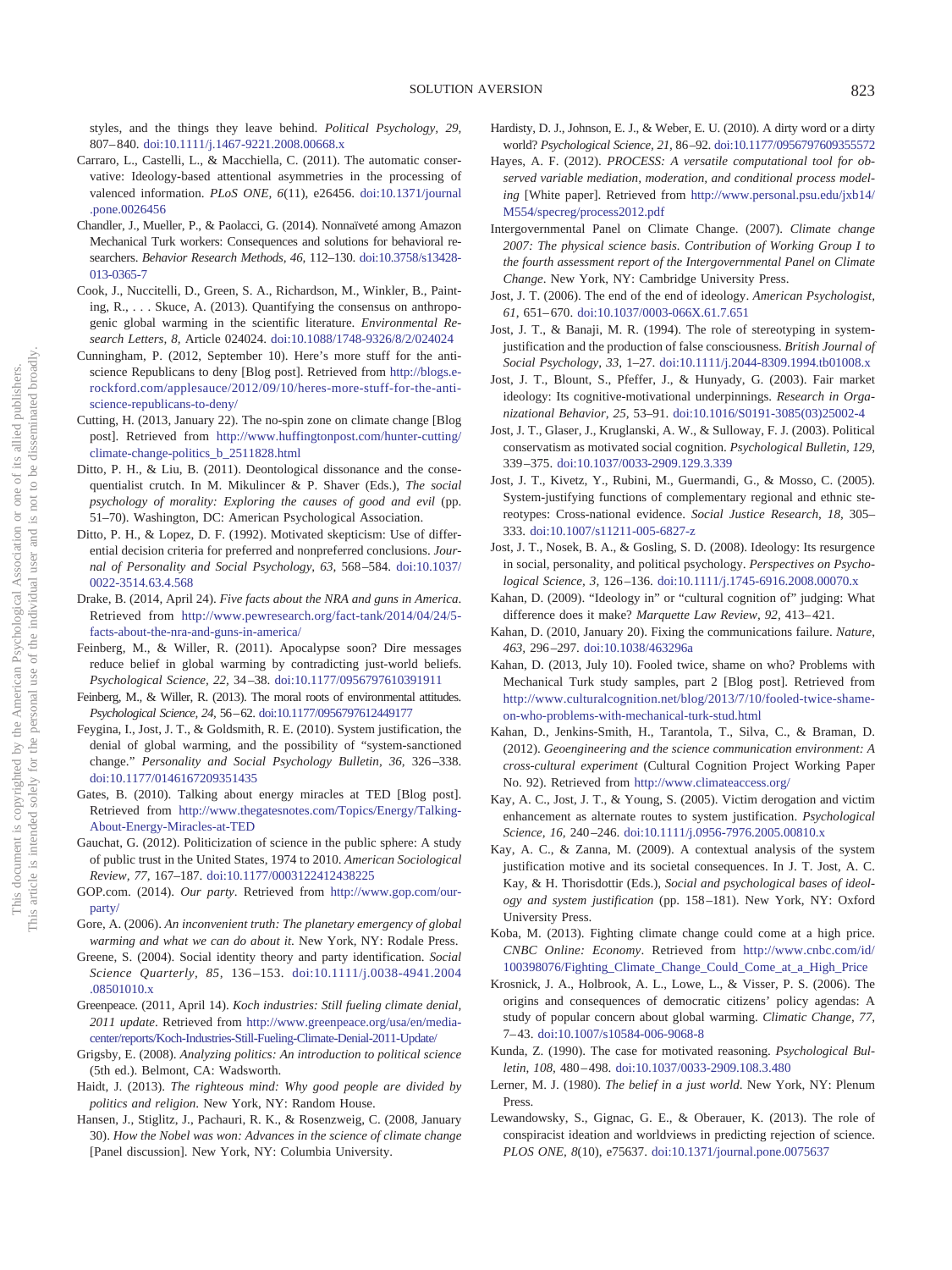styles, and the things they leave behind. *Political Psychology, 29,* 807– 840. [doi:10.1111/j.1467-9221.2008.00668.x](http://dx.doi.org/10.1111/j.1467-9221.2008.00668.x)

- <span id="page-14-0"></span>Carraro, L., Castelli, L., & Macchiella, C. (2011). The automatic conservative: Ideology-based attentional asymmetries in the processing of valenced information. *PLoS ONE, 6*(11), e26456. [doi:10.1371/journal](http://dx.doi.org/10.1371/journal.pone.0026456) [.pone.0026456](http://dx.doi.org/10.1371/journal.pone.0026456)
- <span id="page-14-32"></span>Chandler, J., Mueller, P., & Paolacci, G. (2014). Nonnaïveté among Amazon Mechanical Turk workers: Consequences and solutions for behavioral researchers. *Behavior Research Methods, 46,* 112–130. [doi:10.3758/s13428-](http://dx.doi.org/10.3758/s13428-013-0365-7) [013-0365-7](http://dx.doi.org/10.3758/s13428-013-0365-7)
- <span id="page-14-8"></span>Cook, J., Nuccitelli, D., Green, S. A., Richardson, M., Winkler, B., Painting, R.,... Skuce, A. (2013). Quantifying the consensus on anthropogenic global warming in the scientific literature. *Environmental Research Letters, 8,* Article 024024. [doi:10.1088/1748-9326/8/2/024024](http://dx.doi.org/10.1088/1748-9326/8/2/024024)
- <span id="page-14-10"></span>Cunningham, P. (2012, September 10). Here's more stuff for the antiscience Republicans to deny [Blog post]. Retrieved from [http://blogs.e](http://blogs.e-rockford.com/applesauce/2012/09/10/heres-more-stuff-for-the-anti-science-republicans-to-deny/)[rockford.com/applesauce/2012/09/10/heres-more-stuff-for-the-anti](http://blogs.e-rockford.com/applesauce/2012/09/10/heres-more-stuff-for-the-anti-science-republicans-to-deny/)[science-republicans-to-deny/](http://blogs.e-rockford.com/applesauce/2012/09/10/heres-more-stuff-for-the-anti-science-republicans-to-deny/)
- <span id="page-14-20"></span>Cutting, H. (2013, January 22). The no-spin zone on climate change [Blog post]. Retrieved from [http://www.huffingtonpost.com/hunter-cutting/](http://www.huffingtonpost.com/hunter-cutting/climate-change-politics_b_2511828.html) [climate-change-politics\\_b\\_2511828.html](http://www.huffingtonpost.com/hunter-cutting/climate-change-politics_b_2511828.html)
- <span id="page-14-14"></span>Ditto, P. H., & Liu, B. (2011). Deontological dissonance and the consequentialist crutch. In M. Mikulincer & P. Shaver (Eds.), *The social psychology of morality: Exploring the causes of good and evil* (pp. 51–70). Washington, DC: American Psychological Association.
- <span id="page-14-6"></span>Ditto, P. H., & Lopez, D. F. (1992). Motivated skepticism: Use of differential decision criteria for preferred and nonpreferred conclusions. *Journal of Personality and Social Psychology, 63,* 568 –584. [doi:10.1037/](http://dx.doi.org/10.1037/0022-3514.63.4.568) [0022-3514.63.4.568](http://dx.doi.org/10.1037/0022-3514.63.4.568)
- <span id="page-14-26"></span>Drake, B. (2014, April 24). *Five facts about the NRA and guns in America*. Retrieved from [http://www.pewresearch.org/fact-tank/2014/04/24/5](http://www.pewresearch.org/fact-tank/2014/04/24/5-facts-about-the-nra-and-guns-in-america/) [facts-about-the-nra-and-guns-in-america/](http://www.pewresearch.org/fact-tank/2014/04/24/5-facts-about-the-nra-and-guns-in-america/)
- <span id="page-14-22"></span>Feinberg, M., & Willer, R. (2011). Apocalypse soon? Dire messages reduce belief in global warming by contradicting just-world beliefs. *Psychological Science, 22,* 34 –38. [doi:10.1177/0956797610391911](http://dx.doi.org/10.1177/0956797610391911)
- <span id="page-14-28"></span>Feinberg, M., & Willer, R. (2013). The moral roots of environmental attitudes. *Psychological Science, 24,* 56–62. [doi:10.1177/0956797612449177](http://dx.doi.org/10.1177/0956797612449177)
- <span id="page-14-23"></span>Feygina, I., Jost, J. T., & Goldsmith, R. E. (2010). System justification, the denial of global warming, and the possibility of "system-sanctioned change." *Personality and Social Psychology Bulletin, 36, 326–338.* [doi:10.1177/0146167209351435](http://dx.doi.org/10.1177/0146167209351435)
- <span id="page-14-27"></span>Gates, B. (2010). Talking about energy miracles at TED [Blog post]. Retrieved from [http://www.thegatesnotes.com/Topics/Energy/Talking-](http://www.thegatesnotes.com/Topics/Energy/Talking-About-Energy-Miracles-at-TED)[About-Energy-Miracles-at-TED](http://www.thegatesnotes.com/Topics/Energy/Talking-About-Energy-Miracles-at-TED)
- <span id="page-14-11"></span>Gauchat, G. (2012). Politicization of science in the public sphere: A study of public trust in the United States, 1974 to 2010. *American Sociological Review, 77,* 167–187. [doi:10.1177/0003122412438225](http://dx.doi.org/10.1177/0003122412438225)
- <span id="page-14-21"></span>GOP.com. (2014). *Our party*. Retrieved from [http://www.gop.com/our](http://www.gop.com/our-party/)[party/](http://www.gop.com/our-party/)
- <span id="page-14-12"></span>Gore, A. (2006). *An inconvenient truth: The planetary emergency of global warming and what we can do about it*. New York, NY: Rodale Press.
- <span id="page-14-17"></span>Greene, S. (2004). Social identity theory and party identification. *Social Science Quarterly, 85,* 136 –153. [doi:10.1111/j.0038-4941.2004](http://dx.doi.org/10.1111/j.0038-4941.2004.08501010.x) [.08501010.x](http://dx.doi.org/10.1111/j.0038-4941.2004.08501010.x)
- <span id="page-14-18"></span>Greenpeace. (2011, April 14). *Koch industries: Still fueling climate denial, 2011 update*. Retrieved from [http://www.greenpeace.org/usa/en/media](http://www.greenpeace.org/usa/en/media-center/reports/Koch-Industries-Still-Fueling-Climate-Denial-2011-Update/)[center/reports/Koch-Industries-Still-Fueling-Climate-Denial-2011-Update/](http://www.greenpeace.org/usa/en/media-center/reports/Koch-Industries-Still-Fueling-Climate-Denial-2011-Update/)
- Grigsby, E. (2008). *Analyzing politics: An introduction to political science* (5th ed.). Belmont, CA: Wadsworth.
- <span id="page-14-15"></span>Haidt, J. (2013). *The righteous mind: Why good people are divided by politics and religion*. New York, NY: Random House.
- <span id="page-14-19"></span>Hansen, J., Stiglitz, J., Pachauri, R. K., & Rosenzweig, C. (2008, January 30). *How the Nobel was won: Advances in the science of climate change* [Panel discussion]. New York, NY: Columbia University.
- <span id="page-14-29"></span>Hardisty, D. J., Johnson, E. J., & Weber, E. U. (2010). A dirty word or a dirty world? *Psychological Science, 21,* 86 –92. [doi:10.1177/0956797609355572](http://dx.doi.org/10.1177/0956797609355572)
- <span id="page-14-25"></span>Hayes, A. F. (2012). *PROCESS: A versatile computational tool for observed variable mediation, moderation, and conditional process modeling* [White paper]. Retrieved from [http://www.personal.psu.edu/jxb14/](http://www.personal.psu.edu/jxb14/M554/specreg/process2012.pdf) [M554/specreg/process2012.pdf](http://www.personal.psu.edu/jxb14/M554/specreg/process2012.pdf)
- <span id="page-14-9"></span>Intergovernmental Panel on Climate Change. (2007). *Climate change 2007: The physical science basis. Contribution of Working Group I to the fourth assessment report of the Intergovernmental Panel on Climate Change*. New York, NY: Cambridge University Press.
- <span id="page-14-3"></span>Jost, J. T. (2006). The end of the end of ideology. *American Psychologist, 61,* 651– 670. [doi:10.1037/0003-066X.61.7.651](http://dx.doi.org/10.1037/0003-066X.61.7.651)
- <span id="page-14-34"></span>Jost, J. T., & Banaji, M. R. (1994). The role of stereotyping in systemjustification and the production of false consciousness. *British Journal of Social Psychology, 33,* 1–27. [doi:10.1111/j.2044-8309.1994.tb01008.x](http://dx.doi.org/10.1111/j.2044-8309.1994.tb01008.x)
- Jost, J. T., Blount, S., Pfeffer, J., & Hunyady, G. (2003). Fair market ideology: Its cognitive-motivational underpinnings. *Research in Organizational Behavior, 25,* 53–91. [doi:10.1016/S0191-3085\(03\)25002-4](http://dx.doi.org/10.1016/S0191-3085%2803%2925002-4)
- <span id="page-14-1"></span>Jost, J. T., Glaser, J., Kruglanski, A. W., & Sulloway, F. J. (2003). Political conservatism as motivated social cognition. *Psychological Bulletin, 129,* 339 –375. [doi:10.1037/0033-2909.129.3.339](http://dx.doi.org/10.1037/0033-2909.129.3.339)
- <span id="page-14-35"></span>Jost, J. T., Kivetz, Y., Rubini, M., Guermandi, G., & Mosso, C. (2005). System-justifying functions of complementary regional and ethnic stereotypes: Cross-national evidence. *Social Justice Research, 18,* 305– 333. [doi:10.1007/s11211-005-6827-z](http://dx.doi.org/10.1007/s11211-005-6827-z)
- <span id="page-14-4"></span>Jost, J. T., Nosek, B. A., & Gosling, S. D. (2008). Ideology: Its resurgence in social, personality, and political psychology. *Perspectives on Psychological Science, 3,* 126 –136. [doi:10.1111/j.1745-6916.2008.00070.x](http://dx.doi.org/10.1111/j.1745-6916.2008.00070.x)
- <span id="page-14-5"></span>Kahan, D. (2009). "Ideology in" or "cultural cognition of" judging: What difference does it make? *Marquette Law Review, 92,* 413– 421.
- <span id="page-14-13"></span>Kahan, D. (2010, January 20). Fixing the communications failure. *Nature, 463,* 296 –297. [doi:10.1038/463296a](http://dx.doi.org/10.1038/463296a)
- <span id="page-14-33"></span>Kahan, D. (2013, July 10). Fooled twice, shame on who? Problems with Mechanical Turk study samples, part 2 [Blog post]. Retrieved from [http://www.culturalcognition.net/blog/2013/7/10/fooled-twice-shame](http://www.culturalcognition.net/blog/2013/7/10/fooled-twice-shame-on-who-problems-with-mechanical-turk-stud.html)[on-who-problems-with-mechanical-turk-stud.html](http://www.culturalcognition.net/blog/2013/7/10/fooled-twice-shame-on-who-problems-with-mechanical-turk-stud.html)
- <span id="page-14-30"></span>Kahan, D., Jenkins-Smith, H., Tarantola, T., Silva, C., & Braman, D. (2012). *Geoengineering and the science communication environment: A cross-cultural experiment* (Cultural Cognition Project Working Paper No. 92). Retrieved from <http://www.climateaccess.org/>
- <span id="page-14-36"></span>Kay, A. C., Jost, J. T., & Young, S. (2005). Victim derogation and victim enhancement as alternate routes to system justification. *Psychological Science, 16,* 240 –246. [doi:10.1111/j.0956-7976.2005.00810.x](http://dx.doi.org/10.1111/j.0956-7976.2005.00810.x)
- <span id="page-14-37"></span>Kay, A. C., & Zanna, M. (2009). A contextual analysis of the system justification motive and its societal consequences. In J. T. Jost, A. C. Kay, & H. Thorisdottir (Eds.), *Social and psychological bases of ideology and system justification* (pp. 158 –181). New York, NY: Oxford University Press.
- <span id="page-14-16"></span>Koba, M. (2013). Fighting climate change could come at a high price. *CNBC Online: Economy*. Retrieved from [http://www.cnbc.com/id/](http://www.cnbc.com/id/100398076/Fighting_Climate_Change_Could_Come_at_a_High_Price) [100398076/Fighting\\_Climate\\_Change\\_Could\\_Come\\_at\\_a\\_High\\_Price](http://www.cnbc.com/id/100398076/Fighting_Climate_Change_Could_Come_at_a_High_Price)
- <span id="page-14-24"></span>Krosnick, J. A., Holbrook, A. L., Lowe, L., & Visser, P. S. (2006). The origins and consequences of democratic citizens' policy agendas: A study of popular concern about global warming. *Climatic Change, 77,* 7– 43. [doi:10.1007/s10584-006-9068-8](http://dx.doi.org/10.1007/s10584-006-9068-8)
- <span id="page-14-7"></span>Kunda, Z. (1990). The case for motivated reasoning. *Psychological Bulletin, 108,* 480 – 498. [doi:10.1037/0033-2909.108.3.480](http://dx.doi.org/10.1037/0033-2909.108.3.480)
- <span id="page-14-31"></span>Lerner, M. J. (1980). *The belief in a just world*. New York, NY: Plenum Press.
- <span id="page-14-2"></span>Lewandowsky, S., Gignac, G. E., & Oberauer, K. (2013). The role of conspiracist ideation and worldviews in predicting rejection of science. *PLOS ONE, 8*(10), e75637. [doi:10.1371/journal.pone.0075637](http://dx.doi.org/10.1371/journal.pone.0075637)